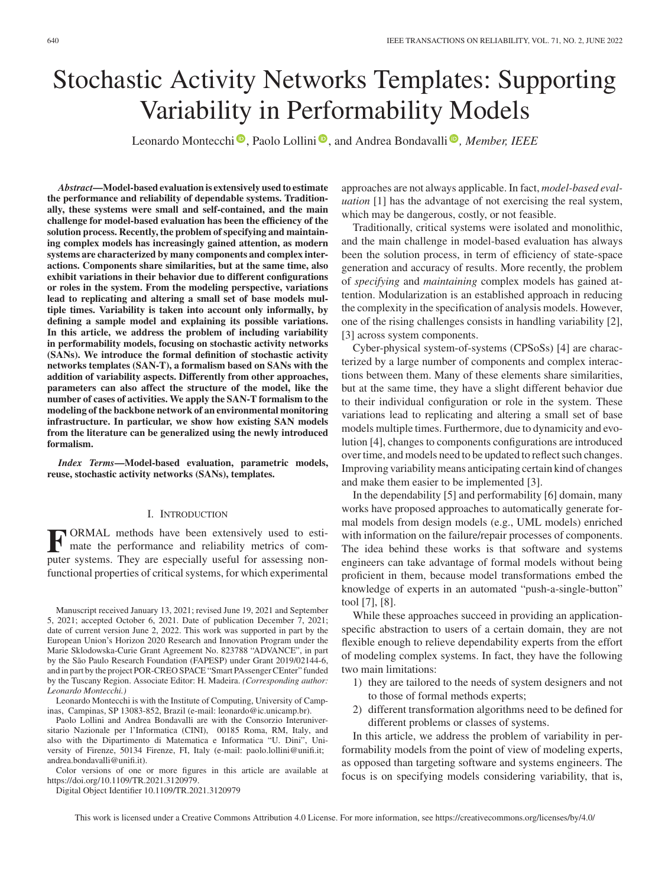# Stochastic Activity Networks Templates: Supporting Variability in Performability Models

Leonardo Montecchi<sup>®</sup>[,](https://orcid.org/0000-0001-7366-6530) Paolo Lollini<sup>®</sup>, and Andrea Bondavalli<sup>®</sup>, Member, IEEE

*Abstract***—Model-based evaluation is extensively used to estimate the performance and reliability of dependable systems. Traditionally, these systems were small and self-contained, and the main challenge for model-based evaluation has been the efficiency of the solution process. Recently, the problem of specifying and maintaining complex models has increasingly gained attention, as modern systems are characterized by many components and complex interactions. Components share similarities, but at the same time, also exhibit variations in their behavior due to different configurations or roles in the system. From the modeling perspective, variations lead to replicating and altering a small set of base models multiple times. Variability is taken into account only informally, by defining a sample model and explaining its possible variations. In this article, we address the problem of including variability in performability models, focusing on stochastic activity networks (SANs). We introduce the formal definition of stochastic activity networks templates (SAN-T), a formalism based on SANs with the addition of variability aspects. Differently from other approaches, parameters can also affect the structure of the model, like the number of cases of activities. We apply the SAN-T formalism to the modeling of the backbone network of an environmental monitoring infrastructure. In particular, we show how existing SAN models from the literature can be generalized using the newly introduced formalism.**

*Index Terms***—Model-based evaluation, parametric models, reuse, stochastic activity networks (SANs), templates.**

## I. INTRODUCTION

**F** ORMAL methods have been extensively used to esti-<br>mate the performance and reliability metrics of computer systems. They are especially useful for assessing nonfunctional properties of critical systems, for which experimental

Manuscript received January 13, 2021; revised June 19, 2021 and September 5, 2021; accepted October 6, 2021. Date of publication December 7, 2021; date of current version June 2, 2022. This work was supported in part by the European Union's Horizon 2020 Research and Innovation Program under the Marie Sklodowska-Curie Grant Agreement No. 823788 "ADVANCE", in part by the São Paulo Research Foundation (FAPESP) under Grant 2019/02144-6, and in part by the project POR-CREO SPACE "Smart PAssenger CEnter" funded by the Tuscany Region. Associate Editor: H. Madeira. *(Corresponding author: Leonardo Montecchi.)*

Leonardo Montecchi is with the Institute of Computing, University of Campinas, Campinas, SP 13083-852, Brazil (e-mail: [leonardo@ic.unicamp.br\)](mailto:leonardo@ic.unicamp.br).

Paolo Lollini and Andrea Bondavalli are with the Consorzio Interuniversitario Nazionale per l'Informatica (CINI), 00185 Roma, RM, Italy, and also with the Dipartimento di Matematica e Informatica "U. Dini", University of Firenze, 50134 Firenze, FI, Italy (e-mail: [paolo.lollini@unifi.it;](mailto:paolo.lollini@unifi.it) [andrea.bondavalli@unifi.it\)](mailto:penalty -@M andrea.bondavalli@unifi.it).

Color versions of one or more figures in this article are available at [https://doi.org/10.1109/TR.2021.3120979.](https://doi.org/10.1109/TR.2021.3120979)

Digital Object Identifier 10.1109/TR.2021.3120979

approaches are not always applicable. In fact, *model-based evaluation* [1] has the advantage of not exercising the real system, which may be dangerous, costly, or not feasible.

Traditionally, critical systems were isolated and monolithic, and the main challenge in model-based evaluation has always been the solution process, in term of efficiency of state-space generation and accuracy of results. More recently, the problem of *specifying* and *maintaining* complex models has gained attention. Modularization is an established approach in reducing the complexity in the specification of analysis models. However, one of the rising challenges consists in handling variability [2], [3] across system components.

Cyber-physical system-of-systems (CPSoSs) [4] are characterized by a large number of components and complex interactions between them. Many of these elements share similarities, but at the same time, they have a slight different behavior due to their individual configuration or role in the system. These variations lead to replicating and altering a small set of base models multiple times. Furthermore, due to dynamicity and evolution [4], changes to components configurations are introduced over time, and models need to be updated to reflect such changes. Improving variability means anticipating certain kind of changes and make them easier to be implemented [3].

In the dependability [5] and performability [6] domain, many works have proposed approaches to automatically generate formal models from design models (e.g., UML models) enriched with information on the failure/repair processes of components. The idea behind these works is that software and systems engineers can take advantage of formal models without being proficient in them, because model transformations embed the knowledge of experts in an automated "push-a-single-button" tool [7], [8].

While these approaches succeed in providing an applicationspecific abstraction to users of a certain domain, they are not flexible enough to relieve dependability experts from the effort of modeling complex systems. In fact, they have the following two main limitations:

- 1) they are tailored to the needs of system designers and not to those of formal methods experts;
- 2) different transformation algorithms need to be defined for different problems or classes of systems.

In this article, we address the problem of variability in performability models from the point of view of modeling experts, as opposed than targeting software and systems engineers. The focus is on specifying models considering variability, that is,

This work is licensed under a Creative Commons Attribution 4.0 License. For more information, see https://creativecommons.org/licenses/by/4.0/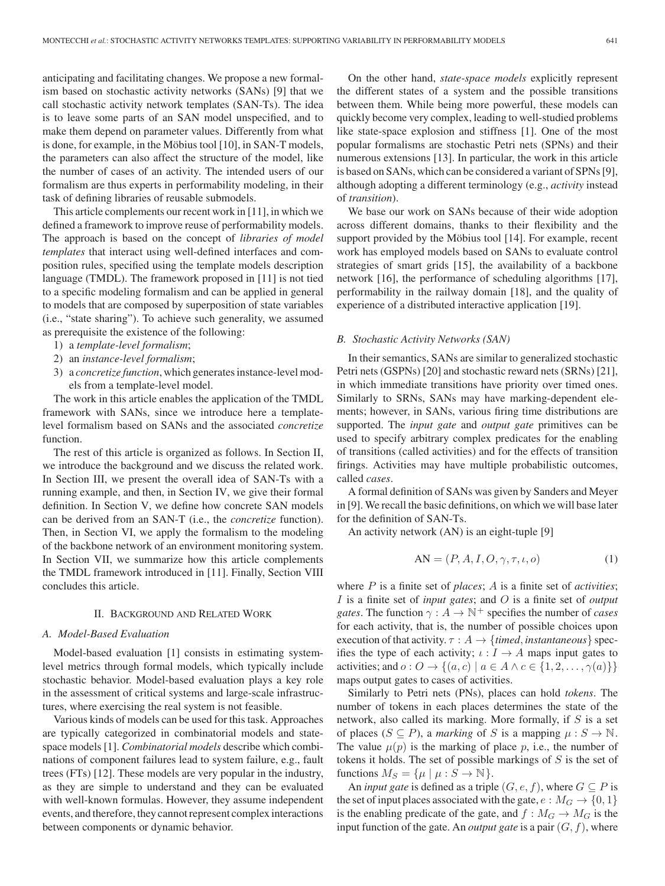anticipating and facilitating changes. We propose a new formalism based on stochastic activity networks (SANs) [9] that we call stochastic activity network templates (SAN-Ts). The idea is to leave some parts of an SAN model unspecified, and to make them depend on parameter values. Differently from what is done, for example, in the Möbius tool [10], in SAN-T models, the parameters can also affect the structure of the model, like the number of cases of an activity. The intended users of our formalism are thus experts in performability modeling, in their task of defining libraries of reusable submodels.

This article complements our recent work in [11], in which we defined a framework to improve reuse of performability models. The approach is based on the concept of *libraries of model templates* that interact using well-defined interfaces and composition rules, specified using the template models description language (TMDL). The framework proposed in [11] is not tied to a specific modeling formalism and can be applied in general to models that are composed by superposition of state variables (i.e., "state sharing"). To achieve such generality, we assumed as prerequisite the existence of the following:

- 1) a *template-level formalism*;
- 2) an *instance-level formalism*;
- 3) a *concretize function*, which generates instance-level models from a template-level model.

The work in this article enables the application of the TMDL framework with SANs, since we introduce here a templatelevel formalism based on SANs and the associated *concretize* function.

The rest of this article is organized as follows. In Section II, we introduce the background and we discuss the related work. In Section III, we present the overall idea of SAN-Ts with a running example, and then, in Section IV, we give their formal definition. In Section V, we define how concrete SAN models can be derived from an SAN-T (i.e., the *concretize* function). Then, in Section VI, we apply the formalism to the modeling of the backbone network of an environment monitoring system. In Section VII, we summarize how this article complements the TMDL framework introduced in [11]. Finally, Section VIII concludes this article.

## II. BACKGROUND AND RELATED WORK

### *A. Model-Based Evaluation*

Model-based evaluation [1] consists in estimating systemlevel metrics through formal models, which typically include stochastic behavior. Model-based evaluation plays a key role in the assessment of critical systems and large-scale infrastructures, where exercising the real system is not feasible.

Various kinds of models can be used for this task. Approaches are typically categorized in combinatorial models and statespace models [1]. *Combinatorial models* describe which combinations of component failures lead to system failure, e.g., fault trees (FTs) [12]. These models are very popular in the industry, as they are simple to understand and they can be evaluated with well-known formulas. However, they assume independent events, and therefore, they cannot represent complex interactions between components or dynamic behavior.

On the other hand, *state-space models* explicitly represent the different states of a system and the possible transitions between them. While being more powerful, these models can quickly become very complex, leading to well-studied problems like state-space explosion and stiffness [1]. One of the most popular formalisms are stochastic Petri nets (SPNs) and their numerous extensions [13]. In particular, the work in this article is based on SANs, which can be considered a variant of SPNs [9], although adopting a different terminology (e.g., *activity* instead of *transition*).

We base our work on SANs because of their wide adoption across different domains, thanks to their flexibility and the support provided by the Möbius tool [14]. For example, recent work has employed models based on SANs to evaluate control strategies of smart grids [15], the availability of a backbone network [16], the performance of scheduling algorithms [17], performability in the railway domain [18], and the quality of experience of a distributed interactive application [19].

#### *B. Stochastic Activity Networks (SAN)*

In their semantics, SANs are similar to generalized stochastic Petri nets (GSPNs) [20] and stochastic reward nets (SRNs) [21], in which immediate transitions have priority over timed ones. Similarly to SRNs, SANs may have marking-dependent elements; however, in SANs, various firing time distributions are supported. The *input gate* and *output gate* primitives can be used to specify arbitrary complex predicates for the enabling of transitions (called activities) and for the effects of transition firings. Activities may have multiple probabilistic outcomes, called *cases*.

A formal definition of SANs was given by Sanders and Meyer in [9]. We recall the basic definitions, on which we will base later for the definition of SAN-Ts.

An activity network (AN) is an eight-tuple [9]

$$
AN = (P, A, I, O, \gamma, \tau, \iota, o)
$$
 (1)

where P is a finite set of *places*; A is a finite set of *activities*; I is a finite set of *input gates*; and O is a finite set of *output gates*. The function  $\gamma: A \to \mathbb{N}^+$  specifies the number of *cases* for each activity, that is, the number of possible choices upon execution of that activity.  $\tau : A \rightarrow \{timed, instantaneous\}$  specifies the type of each activity;  $\iota : I \to A$  maps input gates to activities; and  $o: O \rightarrow \{(a, c) \mid a \in A \land c \in \{1, 2, \ldots, \gamma(a)\}\}\$ maps output gates to cases of activities.

Similarly to Petri nets (PNs), places can hold *tokens*. The number of tokens in each places determines the state of the network, also called its marking. More formally, if  $S$  is a set of places  $(S \subseteq P)$ , a *marking* of S is a mapping  $\mu : S \to \mathbb{N}$ . The value  $\mu(p)$  is the marking of place p, i.e., the number of tokens it holds. The set of possible markings of  $S$  is the set of functions  $M_S = {\mu \mid \mu : S \to \mathbb{N}}$ .

An *input gate* is defined as a triple  $(G, e, f)$ , where  $G \subseteq P$  is the set of input places associated with the gate,  $e : M_G \to \{0, 1\}$ is the enabling predicate of the gate, and  $f : M_G \to M_G$  is the input function of the gate. An *output gate* is a pair  $(G, f)$ , where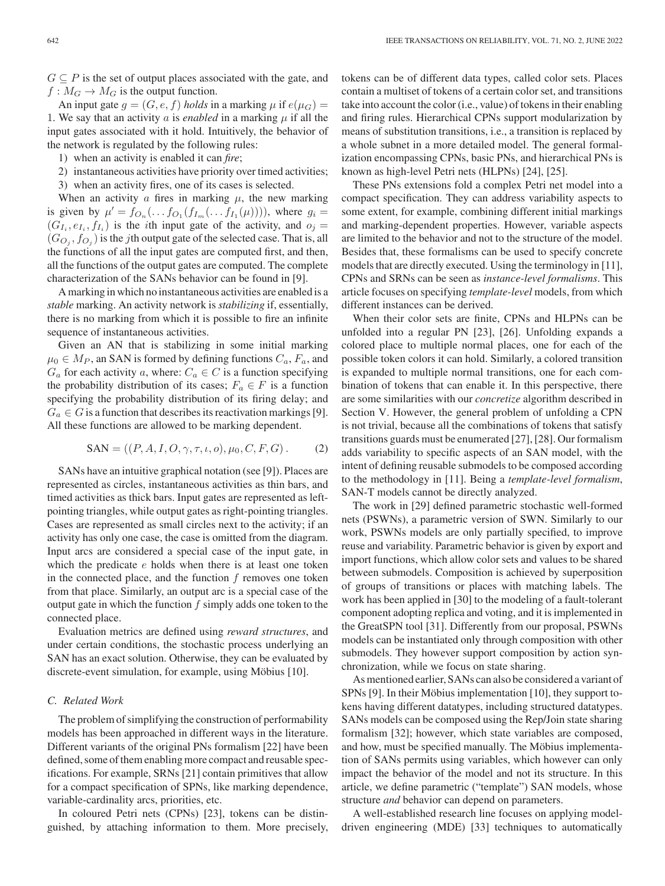An input gate  $g = (G, e, f)$  *holds* in a marking  $\mu$  if  $e(\mu_G)$  = 1. We say that an activity a is *enabled* in a marking  $\mu$  if all the input gates associated with it hold. Intuitively, the behavior of the network is regulated by the following rules:

- 1) when an activity is enabled it can *fire*;
- 2) instantaneous activities have priority over timed activities;
- 3) when an activity fires, one of its cases is selected.

When an activity  $\alpha$  fires in marking  $\mu$ , the new marking is given by  $\mu' = f_{O_n}(\ldots f_{O_1}(f_{I_m}(\ldots f_{I_1}(\mu))))$ , where  $g_i =$  $(G_{I_i}, e_{I_i}, f_{I_i})$  is the *i*th input gate of the activity, and  $o_j =$  $(G_{O_i}, f_{O_i})$  is the *j*th output gate of the selected case. That is, all the functions of all the input gates are computed first, and then, all the functions of the output gates are computed. The complete characterization of the SANs behavior can be found in [9].

A marking in which no instantaneous activities are enabled is a *stable* marking. An activity network is *stabilizing* if, essentially, there is no marking from which it is possible to fire an infinite sequence of instantaneous activities.

Given an AN that is stabilizing in some initial marking  $\mu_0 \in M_P$ , an SAN is formed by defining functions  $C_a$ ,  $F_a$ , and  $G_a$  for each activity a, where:  $C_a \in C$  is a function specifying the probability distribution of its cases;  $F_a \in F$  is a function specifying the probability distribution of its firing delay; and  $G_a \in G$  is a function that describes its reactivation markings [9]. All these functions are allowed to be marking dependent.

$$
SAN = ((P, A, I, O, \gamma, \tau, \iota, o), \mu_0, C, F, G).
$$
 (2)

SANs have an intuitive graphical notation (see [9]). Places are represented as circles, instantaneous activities as thin bars, and timed activities as thick bars. Input gates are represented as leftpointing triangles, while output gates as right-pointing triangles. Cases are represented as small circles next to the activity; if an activity has only one case, the case is omitted from the diagram. Input arcs are considered a special case of the input gate, in which the predicate  $e$  holds when there is at least one token in the connected place, and the function  $f$  removes one token from that place. Similarly, an output arc is a special case of the output gate in which the function  $f$  simply adds one token to the connected place.

Evaluation metrics are defined using *reward structures*, and under certain conditions, the stochastic process underlying an SAN has an exact solution. Otherwise, they can be evaluated by discrete-event simulation, for example, using Möbius [10].

# *C. Related Work*

The problem of simplifying the construction of performability models has been approached in different ways in the literature. Different variants of the original PNs formalism [22] have been defined, some of them enabling more compact and reusable specifications. For example, SRNs [21] contain primitives that allow for a compact specification of SPNs, like marking dependence, variable-cardinality arcs, priorities, etc.

In coloured Petri nets (CPNs) [23], tokens can be distinguished, by attaching information to them. More precisely, tokens can be of different data types, called color sets. Places contain a multiset of tokens of a certain color set, and transitions take into account the color (i.e., value) of tokens in their enabling and firing rules. Hierarchical CPNs support modularization by means of substitution transitions, i.e., a transition is replaced by a whole subnet in a more detailed model. The general formalization encompassing CPNs, basic PNs, and hierarchical PNs is known as high-level Petri nets (HLPNs) [24], [25].

These PNs extensions fold a complex Petri net model into a compact specification. They can address variability aspects to some extent, for example, combining different initial markings and marking-dependent properties. However, variable aspects are limited to the behavior and not to the structure of the model. Besides that, these formalisms can be used to specify concrete models that are directly executed. Using the terminology in [11], CPNs and SRNs can be seen as *instance-level formalisms*. This article focuses on specifying *template-level* models, from which different instances can be derived.

When their color sets are finite, CPNs and HLPNs can be unfolded into a regular PN [23], [26]. Unfolding expands a colored place to multiple normal places, one for each of the possible token colors it can hold. Similarly, a colored transition is expanded to multiple normal transitions, one for each combination of tokens that can enable it. In this perspective, there are some similarities with our *concretize* algorithm described in Section V. However, the general problem of unfolding a CPN is not trivial, because all the combinations of tokens that satisfy transitions guards must be enumerated [27], [28]. Our formalism adds variability to specific aspects of an SAN model, with the intent of defining reusable submodels to be composed according to the methodology in [11]. Being a *template-level formalism*, SAN-T models cannot be directly analyzed.

The work in [29] defined parametric stochastic well-formed nets (PSWNs), a parametric version of SWN. Similarly to our work, PSWNs models are only partially specified, to improve reuse and variability. Parametric behavior is given by export and import functions, which allow color sets and values to be shared between submodels. Composition is achieved by superposition of groups of transitions or places with matching labels. The work has been applied in [30] to the modeling of a fault-tolerant component adopting replica and voting, and it is implemented in the GreatSPN tool [31]. Differently from our proposal, PSWNs models can be instantiated only through composition with other submodels. They however support composition by action synchronization, while we focus on state sharing.

As mentioned earlier, SANs can also be considered a variant of SPNs [9]. In their Möbius implementation [10], they support tokens having different datatypes, including structured datatypes. SANs models can be composed using the Rep/Join state sharing formalism [32]; however, which state variables are composed, and how, must be specified manually. The Möbius implementation of SANs permits using variables, which however can only impact the behavior of the model and not its structure. In this article, we define parametric ("template") SAN models, whose structure *and* behavior can depend on parameters.

A well-established research line focuses on applying modeldriven engineering (MDE) [33] techniques to automatically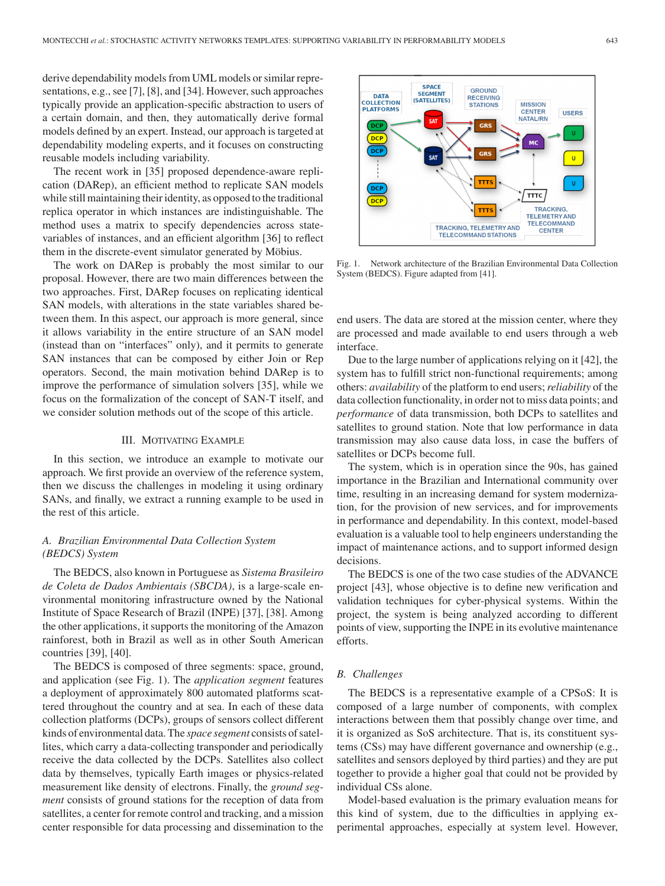derive dependability models from UML models or similar representations, e.g., see [7], [8], and [34]. However, such approaches typically provide an application-specific abstraction to users of a certain domain, and then, they automatically derive formal models defined by an expert. Instead, our approach is targeted at dependability modeling experts, and it focuses on constructing reusable models including variability.

The recent work in [35] proposed dependence-aware replication (DARep), an efficient method to replicate SAN models while still maintaining their identity, as opposed to the traditional replica operator in which instances are indistinguishable. The method uses a matrix to specify dependencies across statevariables of instances, and an efficient algorithm [36] to reflect them in the discrete-event simulator generated by Möbius.

The work on DARep is probably the most similar to our proposal. However, there are two main differences between the two approaches. First, DARep focuses on replicating identical SAN models, with alterations in the state variables shared between them. In this aspect, our approach is more general, since it allows variability in the entire structure of an SAN model (instead than on "interfaces" only), and it permits to generate SAN instances that can be composed by either Join or Rep operators. Second, the main motivation behind DARep is to improve the performance of simulation solvers [35], while we focus on the formalization of the concept of SAN-T itself, and we consider solution methods out of the scope of this article.

#### III. MOTIVATING EXAMPLE

In this section, we introduce an example to motivate our approach. We first provide an overview of the reference system, then we discuss the challenges in modeling it using ordinary SANs, and finally, we extract a running example to be used in the rest of this article.

# *A. Brazilian Environmental Data Collection System (BEDCS) System*

The BEDCS, also known in Portuguese as *Sistema Brasileiro de Coleta de Dados Ambientais (SBCDA)*, is a large-scale environmental monitoring infrastructure owned by the National Institute of Space Research of Brazil (INPE) [37], [38]. Among the other applications, it supports the monitoring of the Amazon rainforest, both in Brazil as well as in other South American countries [39], [40].

The BEDCS is composed of three segments: space, ground, and application (see Fig. 1). The *application segment* features a deployment of approximately 800 automated platforms scattered throughout the country and at sea. In each of these data collection platforms (DCPs), groups of sensors collect different kinds of environmental data. The *space segment* consists of satellites, which carry a data-collecting transponder and periodically receive the data collected by the DCPs. Satellites also collect data by themselves, typically Earth images or physics-related measurement like density of electrons. Finally, the *ground segment* consists of ground stations for the reception of data from satellites, a center for remote control and tracking, and a mission center responsible for data processing and dissemination to the



Fig. 1. Network architecture of the Brazilian Environmental Data Collection System (BEDCS). Figure adapted from [41].

end users. The data are stored at the mission center, where they are processed and made available to end users through a web interface.

Due to the large number of applications relying on it [42], the system has to fulfill strict non-functional requirements; among others: *availability* of the platform to end users;*reliability* of the data collection functionality, in order not to miss data points; and *performance* of data transmission, both DCPs to satellites and satellites to ground station. Note that low performance in data transmission may also cause data loss, in case the buffers of satellites or DCPs become full.

The system, which is in operation since the 90s, has gained importance in the Brazilian and International community over time, resulting in an increasing demand for system modernization, for the provision of new services, and for improvements in performance and dependability. In this context, model-based evaluation is a valuable tool to help engineers understanding the impact of maintenance actions, and to support informed design decisions.

The BEDCS is one of the two case studies of the ADVANCE project [43], whose objective is to define new verification and validation techniques for cyber-physical systems. Within the project, the system is being analyzed according to different points of view, supporting the INPE in its evolutive maintenance efforts.

## *B. Challenges*

The BEDCS is a representative example of a CPSoS: It is composed of a large number of components, with complex interactions between them that possibly change over time, and it is organized as SoS architecture. That is, its constituent systems (CSs) may have different governance and ownership (e.g., satellites and sensors deployed by third parties) and they are put together to provide a higher goal that could not be provided by individual CSs alone.

Model-based evaluation is the primary evaluation means for this kind of system, due to the difficulties in applying experimental approaches, especially at system level. However,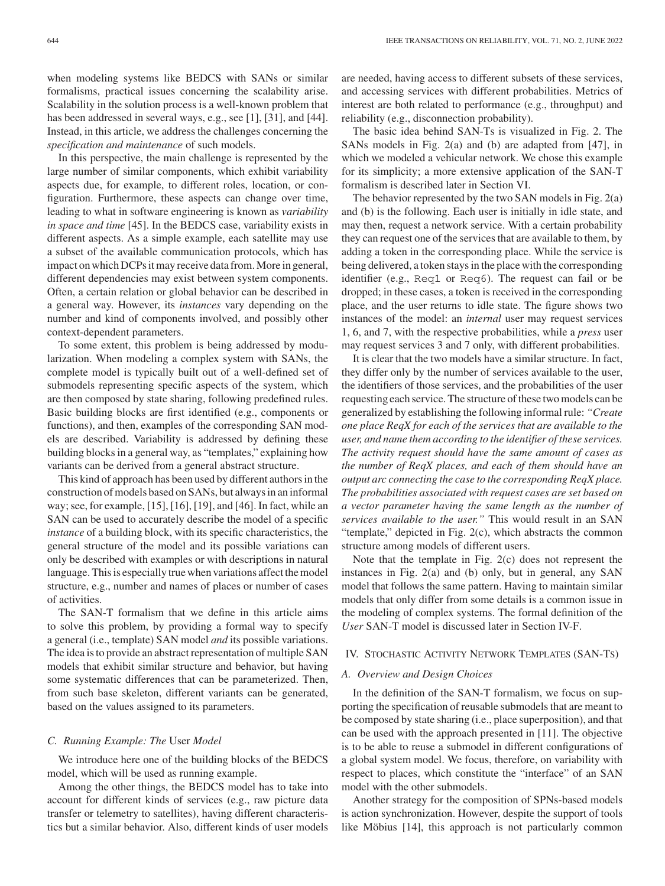when modeling systems like BEDCS with SANs or similar formalisms, practical issues concerning the scalability arise. Scalability in the solution process is a well-known problem that has been addressed in several ways, e.g., see [1], [31], and [44]. Instead, in this article, we address the challenges concerning the *specification and maintenance* of such models.

In this perspective, the main challenge is represented by the large number of similar components, which exhibit variability aspects due, for example, to different roles, location, or configuration. Furthermore, these aspects can change over time, leading to what in software engineering is known as *variability in space and time* [45]. In the BEDCS case, variability exists in different aspects. As a simple example, each satellite may use a subset of the available communication protocols, which has impact on which DCPs it may receive data from. More in general, different dependencies may exist between system components. Often, a certain relation or global behavior can be described in a general way. However, its *instances* vary depending on the number and kind of components involved, and possibly other context-dependent parameters.

To some extent, this problem is being addressed by modularization. When modeling a complex system with SANs, the complete model is typically built out of a well-defined set of submodels representing specific aspects of the system, which are then composed by state sharing, following predefined rules. Basic building blocks are first identified (e.g., components or functions), and then, examples of the corresponding SAN models are described. Variability is addressed by defining these building blocks in a general way, as "templates," explaining how variants can be derived from a general abstract structure.

This kind of approach has been used by different authors in the construction of models based on SANs, but always in an informal way; see, for example, [15], [16], [19], and [46]. In fact, while an SAN can be used to accurately describe the model of a specific *instance* of a building block, with its specific characteristics, the general structure of the model and its possible variations can only be described with examples or with descriptions in natural language. This is especially true when variations affect the model structure, e.g., number and names of places or number of cases of activities.

The SAN-T formalism that we define in this article aims to solve this problem, by providing a formal way to specify a general (i.e., template) SAN model *and* its possible variations. The idea is to provide an abstract representation of multiple SAN models that exhibit similar structure and behavior, but having some systematic differences that can be parameterized. Then, from such base skeleton, different variants can be generated, based on the values assigned to its parameters.

#### *C. Running Example: The* User *Model*

We introduce here one of the building blocks of the BEDCS model, which will be used as running example.

Among the other things, the BEDCS model has to take into account for different kinds of services (e.g., raw picture data transfer or telemetry to satellites), having different characteristics but a similar behavior. Also, different kinds of user models are needed, having access to different subsets of these services, and accessing services with different probabilities. Metrics of interest are both related to performance (e.g., throughput) and reliability (e.g., disconnection probability).

The basic idea behind SAN-Ts is visualized in Fig. 2. The SANs models in Fig. 2(a) and (b) are adapted from [47], in which we modeled a vehicular network. We chose this example for its simplicity; a more extensive application of the SAN-T formalism is described later in Section VI.

The behavior represented by the two SAN models in Fig. 2(a) and (b) is the following. Each user is initially in idle state, and may then, request a network service. With a certain probability they can request one of the services that are available to them, by adding a token in the corresponding place. While the service is being delivered, a token stays in the place with the corresponding identifier (e.g., Req1 or Req6). The request can fail or be dropped; in these cases, a token is received in the corresponding place, and the user returns to idle state. The figure shows two instances of the model: an *internal* user may request services 1, 6, and 7, with the respective probabilities, while a *press* user may request services 3 and 7 only, with different probabilities.

It is clear that the two models have a similar structure. In fact, they differ only by the number of services available to the user, the identifiers of those services, and the probabilities of the user requesting each service. The structure of these two models can be generalized by establishing the following informal rule: *"Create one place ReqX for each of the services that are available to the user, and name them according to the identifier of these services. The activity request should have the same amount of cases as the number of ReqX places, and each of them should have an output arc connecting the case to the corresponding ReqX place. The probabilities associated with request cases are set based on a vector parameter having the same length as the number of services available to the user."* This would result in an SAN "template," depicted in Fig. 2(c), which abstracts the common structure among models of different users.

Note that the template in Fig. 2(c) does not represent the instances in Fig. 2(a) and (b) only, but in general, any SAN model that follows the same pattern. Having to maintain similar models that only differ from some details is a common issue in the modeling of complex systems. The formal definition of the *User* SAN-T model is discussed later in Section IV-F.

#### IV. STOCHASTIC ACTIVITY NETWORK TEMPLATES (SAN-TS)

### *A. Overview and Design Choices*

In the definition of the SAN-T formalism, we focus on supporting the specification of reusable submodels that are meant to be composed by state sharing (i.e., place superposition), and that can be used with the approach presented in [11]. The objective is to be able to reuse a submodel in different configurations of a global system model. We focus, therefore, on variability with respect to places, which constitute the "interface" of an SAN model with the other submodels.

Another strategy for the composition of SPNs-based models is action synchronization. However, despite the support of tools like Möbius [14], this approach is not particularly common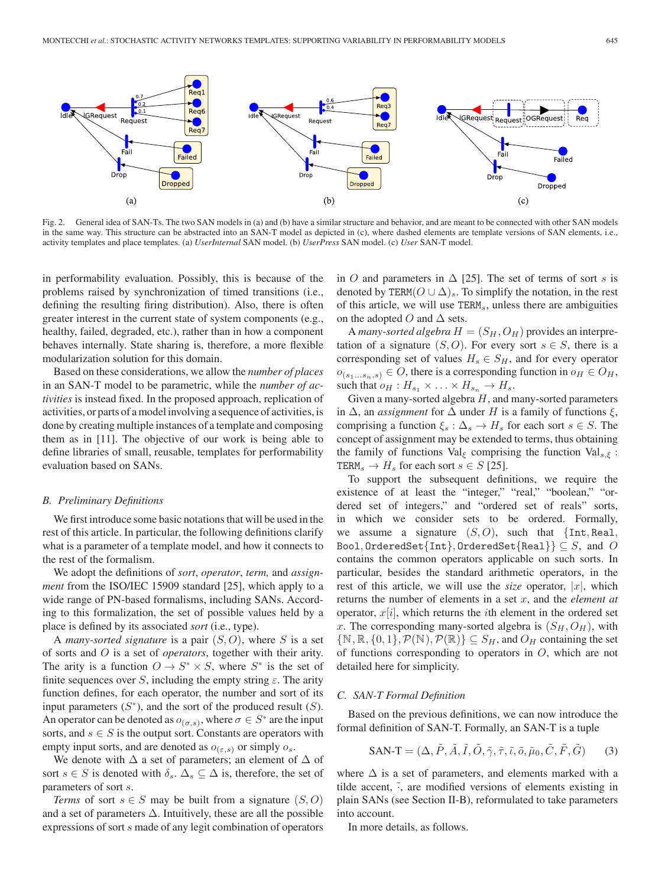

Fig. 2. General idea of SAN-Ts. The two SAN models in (a) and (b) have a similar structure and behavior, and are meant to be connected with other SAN models in the same way. This structure can be abstracted into an SAN-T model as depicted in (c), where dashed elements are template versions of SAN elements, i.e., activity templates and place templates. (a) *UserInternal* SAN model. (b) *UserPress* SAN model. (c) *User* SAN-T model.

in performability evaluation. Possibly, this is because of the problems raised by synchronization of timed transitions (i.e., defining the resulting firing distribution). Also, there is often greater interest in the current state of system components (e.g., healthy, failed, degraded, etc.), rather than in how a component behaves internally. State sharing is, therefore, a more flexible modularization solution for this domain.

Based on these considerations, we allow the *number of places* in an SAN-T model to be parametric, while the *number of activities* is instead fixed. In the proposed approach, replication of activities, or parts of a model involving a sequence of activities, is done by creating multiple instances of a template and composing them as in [11]. The objective of our work is being able to define libraries of small, reusable, templates for performability evaluation based on SANs.

#### *B. Preliminary Definitions*

We first introduce some basic notations that will be used in the rest of this article. In particular, the following definitions clarify what is a parameter of a template model, and how it connects to the rest of the formalism.

We adopt the definitions of *sort*, *operator*, *term,* and *assignment* from the ISO/IEC 15909 standard [25], which apply to a wide range of PN-based formalisms, including SANs. According to this formalization, the set of possible values held by a place is defined by its associated *sort* (i.e., type).

<sup>A</sup> *many-sorted signature* is a pair (S, O), where S is a set of sorts and O is a set of *operators*, together with their arity. The arity is a function  $O \to S^* \times S$ , where  $S^*$  is the set of finite sequences over S, including the empty string  $\varepsilon$ . The arity function defines, for each operator, the number and sort of its input parameters  $(S^*)$ , and the sort of the produced result  $(S)$ . An operator can be denoted as  $o_{(\sigma,s)}$ , where  $\sigma \in S^*$  are the input sorts, and  $s \in S$  is the output sort. Constants are operators with empty input sorts, and are denoted as  $o_{(\varepsilon,s)}$  or simply  $o_s$ .

We denote with  $\Delta$  a set of parameters; an element of  $\Delta$  of sort  $s \in S$  is denoted with  $\delta_s$ .  $\Delta_s \subseteq \Delta$  is, therefore, the set of parameters of sort s.

*Terms* of sort  $s \in S$  may be built from a signature  $(S, O)$ and a set of parameters  $\Delta$ . Intuitively, these are all the possible expressions of sort s made of any legit combination of operators in O and parameters in  $\Delta$  [25]. The set of terms of sort s is denoted by TERM( $O \cup \Delta$ )<sub>s</sub>. To simplify the notation, in the rest of this article, we will use  $TERM<sub>s</sub>$ , unless there are ambiguities on the adopted O and  $\Delta$  sets.

A *many-sorted algebra*  $H = (S_H, O_H)$  provides an interpretation of a signature  $(S, O)$ . For every sort  $s \in S$ , there is a corresponding set of values  $H_s \in S_H$ , and for every operator  $o_{(s_1...s_n,s)} \in O$ , there is a corresponding function in  $o_H \in O_H$ , such that  $o_H : H_{s_1} \times \ldots \times H_{s_n} \to H_s$ .

Given a many-sorted algebra  $H$ , and many-sorted parameters in  $\Delta$ , an *assignment* for  $\Delta$  under H is a family of functions  $\xi$ , comprising a function  $\xi_s : \Delta_s \to H_s$  for each sort  $s \in S$ . The concept of assignment may be extended to terms, thus obtaining the family of functions Val<sub> $\xi$ </sub> comprising the function Val<sub>s,  $\xi$ </sub>: TERM<sub>s</sub>  $\rightarrow$  H<sub>s</sub> for each sort  $s \in S$  [25].

To support the subsequent definitions, we require the existence of at least the "integer," "real," "boolean," "ordered set of integers," and "ordered set of reals" sorts, in which we consider sets to be ordered. Formally, we assume a signature  $(S, O)$ , such that  $\{Int, Real,$ Bool, OrderedSet $\{\text{Int}\},$  OrderedSet $\{\text{Real}\}\subseteq S$ , and O contains the common operators applicable on such sorts. In particular, besides the standard arithmetic operators, in the rest of this article, we will use the *size* operator,  $|x|$ , which returns the number of elements in a set x, and the *element at* operator,  $x[i]$ , which returns the *i*th element in the ordered set x. The corresponding many-sorted algebra is  $(S_H, O_H)$ , with  $\{N, \mathbb{R}, \{0,1\}, \mathcal{P}(\mathbb{N}), \mathcal{P}(\mathbb{R})\} \subseteq S_H$ , and  $O_H$  containing the set of functions corresponding to operators in  $O$ , which are not detailed here for simplicity.

## *C. SAN-T Formal Definition*

Based on the previous definitions, we can now introduce the formal definition of SAN-T. Formally, an SAN-T is a tuple

$$
SAN-T = (\Delta, \tilde{P}, \tilde{A}, \tilde{I}, \tilde{O}, \tilde{\gamma}, \tilde{\tau}, \tilde{\iota}, \tilde{o}, \tilde{\mu}_0, \tilde{C}, \tilde{F}, \tilde{G})
$$
 (3)

where  $\Delta$  is a set of parameters, and elements marked with a tilde accent,  $\tilde{\cdot}$ , are modified versions of elements existing in plain SANs (see Section II-B), reformulated to take parameters into account.

In more details, as follows.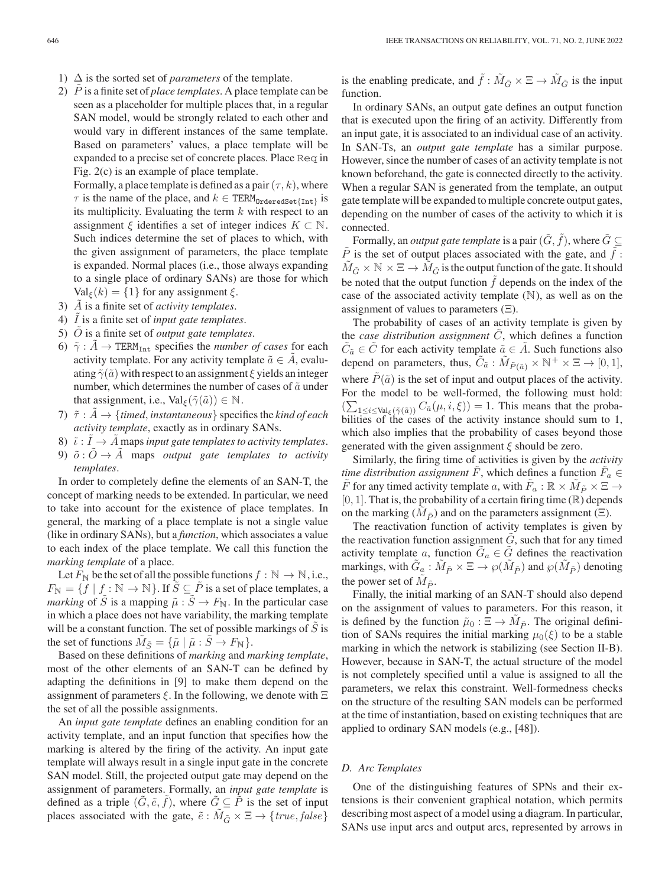- 1)  $\Delta$  is the sorted set of *parameters* of the template.
- 2)  $\dot{P}$  is a finite set of *place templates*. A place template can be seen as a placeholder for multiple places that, in a regular SAN model, would be strongly related to each other and would vary in different instances of the same template. Based on parameters' values, a place template will be expanded to a precise set of concrete places. Place Req in Fig. 2(c) is an example of place template.

Formally, a place template is defined as a pair  $(\tau, k)$ , where  $\tau$  is the name of the place, and  $k \in \text{TERM}_{\text{OrderedSet}}\{\text{Int}\}\$  is its multiplicity. Evaluating the term  $k$  with respect to an assignment  $\xi$  identifies a set of integer indices  $K \subset \mathbb{N}$ . Such indices determine the set of places to which, with the given assignment of parameters, the place template is expanded. Normal places (i.e., those always expanding to a single place of ordinary SANs) are those for which  $Val_{\xi}(k) = \{1\}$  for any assignment  $\xi$ .

- 3) A is a finite set of *activity templates*.
- 4)  $\overline{I}$  is a finite set of *input gate templates*.
- 5) O˜ is a finite set of *output gate templates*.
- 6)  $\tilde{\gamma}$  :  $\tilde{A} \rightarrow$  TERM<sub>Int</sub> specifies the *number of cases* for each activity template. For any activity template  $\tilde{a} \in A$ , evaluating  $\tilde{\gamma}(\tilde{a})$  with respect to an assignment  $\xi$  yields an integer number, which determines the number of cases of  $\tilde{a}$  under that assignment, i.e.,  $\text{Val}_{\xi}(\tilde{\gamma}(\tilde{a})) \in \mathbb{N}$ .
- 7)  $\tilde{\tau}: A \rightarrow \{timed, instantaneous\}$  specifies the *kind of each activity template*, exactly as in ordinary SANs.
- 8)  $\tilde{\iota}: I \to \tilde{A}$  maps *input gate templates to activity templates.*
- 9)  $\tilde{o}$  :  $\tilde{O} \rightarrow \tilde{A}$  maps *output gate templates to activity templates*.

In order to completely define the elements of an SAN-T, the concept of marking needs to be extended. In particular, we need to take into account for the existence of place templates. In general, the marking of a place template is not a single value (like in ordinary SANs), but a *function*, which associates a value to each index of the place template. We call this function the *marking template* of a place.

Let  $F_N$  be the set of all the possible functions  $f : \mathbb{N} \to \mathbb{N}$ , i.e.,  $F_{\mathbb{N}} = \{f \mid f : \mathbb{N} \to \mathbb{N}\}\.$  If  $\tilde{S} \subseteq \tilde{P}$  is a set of place templates, a *marking* of  $\tilde{S}$  is a mapping  $\tilde{\mu} : \tilde{S} \to F_N$ . In the particular case in which a place does not have variability, the marking template will be a constant function. The set of possible markings of  $S$  is the set of functions  $\tilde{M}_{\tilde{S}} = {\tilde{\mu} \mid \tilde{\mu} : \tilde{S} \to F_{\mathbb{N}}}$ .

Based on these definitions of *marking* and *marking template*, most of the other elements of an SAN-T can be defined by adapting the definitions in [9] to make them depend on the assignment of parameters  $\xi$ . In the following, we denote with  $\Xi$ the set of all the possible assignments.

An *input gate template* defines an enabling condition for an activity template, and an input function that specifies how the marking is altered by the firing of the activity. An input gate template will always result in a single input gate in the concrete SAN model. Still, the projected output gate may depend on the assignment of parameters. Formally, an *input gate template* is defined as a triple  $(G, \tilde{e}, f)$ , where  $G \subseteq P$  is the set of input places associated with the gate,  $\tilde{e}: M_{\tilde{G}} \times \Xi \to \{true, false\}$ 

is the enabling predicate, and  $\tilde{f}$  :  $\tilde{M}_{\tilde{G}} \times \Xi \to \tilde{M}_{\tilde{G}}$  is the input function.

In ordinary SANs, an output gate defines an output function that is executed upon the firing of an activity. Differently from an input gate, it is associated to an individual case of an activity. In SAN-Ts, an *output gate template* has a similar purpose. However, since the number of cases of an activity template is not known beforehand, the gate is connected directly to the activity. When a regular SAN is generated from the template, an output gate template will be expanded to multiple concrete output gates, depending on the number of cases of the activity to which it is connected.

Formally, an *output gate template* is a pair  $(\tilde{G}, \tilde{f})$ , where  $\tilde{G} \subseteq$  $\ddot{P}$  is the set of output places associated with the gate, and  $f$ :  $\tilde{M}_{\tilde{G}} \times \mathbb{N} \times \Xi \to M_{\tilde{G}}$  is the output function of the gate. It should be noted that the output function  $f$  depends on the index of the case of the associated activity template  $(N)$ , as well as on the assignment of values to parameters  $(\Xi)$ .

The probability of cases of an activity template is given by the *case distribution assignment* C, which defines a function  $C_{\tilde{a}} \in \tilde{C}$  for each activity template  $\tilde{a} \in \tilde{A}$ . Such functions also depend on parameters, thus,  $\tilde{C}_{\tilde{a}}$  :  $\tilde{M}_{\tilde{P}(\tilde{a})} \times \mathbb{N}^+ \times \Xi \rightarrow [0, 1],$ where  $\tilde{P}(\tilde{a})$  is the set of input and output places of the activity. For the model to be well-formed, the following must hold:  $(\sum_{1 \leq i \leq \text{Val}_{\xi}(\tilde{\gamma}(\tilde{a}))} C_{\tilde{a}}(\mu, i, \xi)) = 1$ . This means that the proba-<br>bilities of the cases of the activity instance should sum to 1 bilities of the cases of the activity instance should sum to 1, which also implies that the probability of cases beyond those generated with the given assignment  $\xi$  should be zero.

Similarly, the firing time of activities is given by the *activity time distribution assignment*  $\tilde{F}$ , which defines a function  $\tilde{F}_a \in$ F for any timed activity template a, with  $F_a : \mathbb{R} \times M_{\tilde{P}} \times \Xi \rightarrow$  $[0, 1]$ . That is, the probability of a certain firing time  $(\mathbb{R})$  depends on the marking  $(M_{\tilde{P}})$  and on the parameters assignment (Ξ).

The reactivation function of activity templates is given by the reactivation function assignment  $G$ , such that for any timed activity template a, function  $\tilde{G}_a \in \tilde{G}$  defines the reactivation markings, with  $G_a : M_{\tilde{P}} \times \Xi \to \wp(M_{\tilde{P}})$  and  $\wp(M_{\tilde{P}})$  denoting the power set of  $M_{\tilde{P}}$ .

Finally, the initial marking of an SAN-T should also depend on the assignment of values to parameters. For this reason, it is defined by the function  $\tilde{\mu}_0 : \Xi \to \tilde{M}_{\tilde{P}}$ . The original definition of SANs requires the initial marking  $\mu_0(\xi)$  to be a stable marking in which the network is stabilizing (see Section II-B). However, because in SAN-T, the actual structure of the model is not completely specified until a value is assigned to all the parameters, we relax this constraint. Well-formedness checks on the structure of the resulting SAN models can be performed at the time of instantiation, based on existing techniques that are applied to ordinary SAN models (e.g., [48]).

# *D. Arc Templates*

One of the distinguishing features of SPNs and their extensions is their convenient graphical notation, which permits describing most aspect of a model using a diagram. In particular, SANs use input arcs and output arcs, represented by arrows in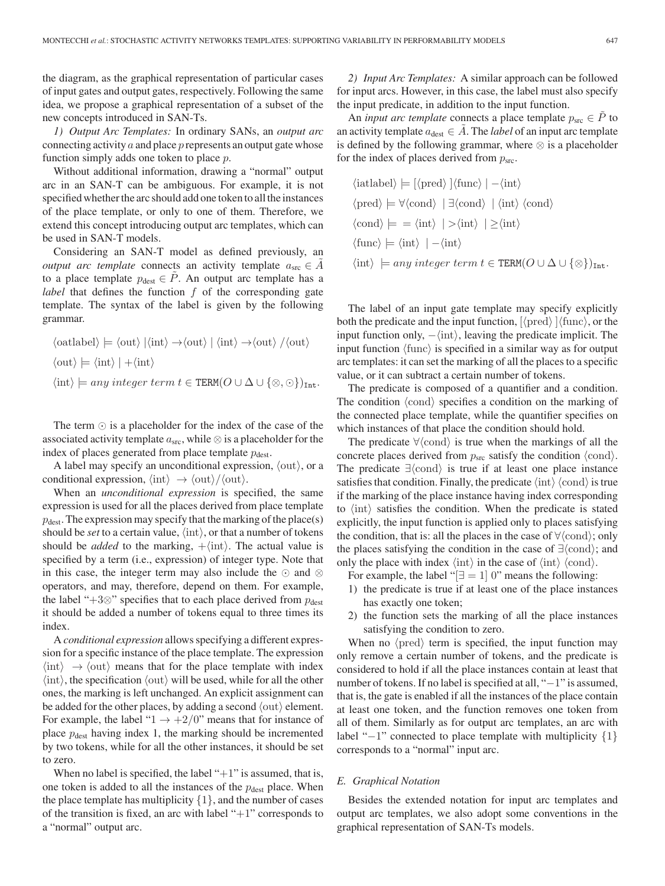the diagram, as the graphical representation of particular cases of input gates and output gates, respectively. Following the same idea, we propose a graphical representation of a subset of the new concepts introduced in SAN-Ts.

*1) Output Arc Templates:* In ordinary SANs, an *output arc* connecting activity  $a$  and place  $p$  represents an output gate whose function simply adds one token to place p.

Without additional information, drawing a "normal" output arc in an SAN-T can be ambiguous. For example, it is not specified whether the arc should add one token to all the instances of the place template, or only to one of them. Therefore, we extend this concept introducing output arc templates, which can be used in SAN-T models.

Considering an SAN-T model as defined previously, an *output arc template* connects an activity template  $a_{\rm src} \in A$ to a place template  $p_{\text{dest}} \in \hat{P}$ . An output arc template has a *label* that defines the function f of the corresponding gate template. The syntax of the label is given by the following grammar.

$$
\langle \text{oatlabel} \rangle \models \langle \text{out} \rangle \mid \langle \text{int} \rangle \rightarrow \langle \text{out} \rangle \mid \langle \text{int} \rangle \rightarrow \langle \text{out} \rangle / \langle \text{out} \rangle
$$
  

$$
\langle \text{out} \rangle \models \langle \text{int} \rangle \mid + \langle \text{int} \rangle
$$
  

$$
\langle \text{int} \rangle \models any integer term t \in \text{TERM}(O \cup \Delta \cup \{ \otimes, \odot \})_{\text{Int}}.
$$

The term  $\odot$  is a placeholder for the index of the case of the associated activity template  $a_{\rm src}$ , while  $\otimes$  is a placeholder for the index of places generated from place template  $p_{\text{dest}}$ .

A label may specify an unconditional expression,  $\langle out \rangle$ , or a conditional expression,  $\langle \text{int} \rangle \rightarrow \langle \text{out} \rangle / \langle \text{out} \rangle$ .

When an *unconditional expression* is specified, the same expression is used for all the places derived from place template  $p_{\text{dest}}$ . The expression may specify that the marking of the place(s) should be *set* to a certain value,  $\langle \text{int} \rangle$ , or that a number of tokens should be *added* to the marking,  $+\langle \text{int} \rangle$ . The actual value is specified by a term (i.e., expression) of integer type. Note that in this case, the integer term may also include the  $\odot$  and  $\otimes$ operators, and may, therefore, depend on them. For example, the label "+3⊗" specifies that to each place derived from  $p_{\text{dest}}$ it should be added a number of tokens equal to three times its index.

A *conditional expression* allows specifying a different expression for a specific instance of the place template. The expression  $\langle \text{int} \rangle \rightarrow \langle \text{out} \rangle$  means that for the place template with index  $\langle \text{int} \rangle$ , the specification  $\langle \text{out} \rangle$  will be used, while for all the other ones, the marking is left unchanged. An explicit assignment can be added for the other places, by adding a second  $\langle \text{out} \rangle$  element. For example, the label " $1 \rightarrow +2/0$ " means that for instance of place  $p_{\text{dest}}$  having index 1, the marking should be incremented by two tokens, while for all the other instances, it should be set to zero.

When no label is specified, the label " $+1$ " is assumed, that is, one token is added to all the instances of the  $p_{\text{dest}}$  place. When the place template has multiplicity  $\{1\}$ , and the number of cases of the transition is fixed, an arc with label " $+1$ " corresponds to a "normal" output arc.

*2) Input Arc Templates:* A similar approach can be followed for input arcs. However, in this case, the label must also specify the input predicate, in addition to the input function.

An *input arc template* connects a place template  $p_{src} \in P$  to an activity template  $a_{\text{dest}} \in A$ . The *label* of an input arc template is defined by the following grammar, where  $\otimes$  is a placeholder for the index of places derived from  $p_{src}$ .

$$
\langle \text{iatlabel} \rangle \models [\langle \text{pred} \rangle \mid \langle \text{func} \rangle \mid -\langle \text{int} \rangle
$$
  

$$
\langle \text{pred} \rangle \models \forall \langle \text{cond} \rangle \mid \exists \langle \text{cond} \rangle \mid \langle \text{int} \rangle \langle \text{cond} \rangle
$$
  

$$
\langle \text{cond} \rangle \models = \langle \text{int} \rangle \mid \rangle \langle \text{int} \rangle
$$
  

$$
\langle \text{func} \rangle \models \langle \text{int} \rangle \mid -\langle \text{int} \rangle
$$
  

$$
\langle \text{int} \rangle \models any integer term t \in \text{TERM}(O \cup \Delta \cup \{\otimes\})_{\text{Int}}.
$$

The label of an input gate template may specify explicitly both the predicate and the input function,  ${\langle \text{pred} \rangle}$   ${\langle \text{func} \rangle}$ , or the input function only,  $-\langle \text{int} \rangle$ , leaving the predicate implicit. The input function  $\langle \text{func} \rangle$  is specified in a similar way as for output arc templates: it can set the marking of all the places to a specific value, or it can subtract a certain number of tokens.

The predicate is composed of a quantifier and a condition. The condition  $\langle \text{cond} \rangle$  specifies a condition on the marking of the connected place template, while the quantifier specifies on which instances of that place the condition should hold.

The predicate  $\forall$ {cond} is true when the markings of all the concrete places derived from  $p_{src}$  satisfy the condition  $\langle \text{cond} \rangle$ . The predicate  $\exists$  (cond) is true if at least one place instance satisfies that condition. Finally, the predicate  $\langle \text{int} \rangle$   $\langle \text{cond} \rangle$  is true if the marking of the place instance having index corresponding to  $\langle \text{int} \rangle$  satisfies the condition. When the predicate is stated explicitly, the input function is applied only to places satisfying the condition, that is: all the places in the case of  $\forall$  (cond); only the places satisfying the condition in the case of  $\exists$ {cond}; and only the place with index  $\langle \text{int} \rangle$  in the case of  $\langle \text{int} \rangle$   $\langle \text{cond} \rangle$ .

For example, the label " $\exists$  = 1 0" means the following:

- 1) the predicate is true if at least one of the place instances has exactly one token;
- 2) the function sets the marking of all the place instances satisfying the condition to zero.

When no  $\langle \text{pred} \rangle$  term is specified, the input function may only remove a certain number of tokens, and the predicate is considered to hold if all the place instances contain at least that number of tokens. If no label is specified at all, "–1" is assumed, that is, the gate is enabled if all the instances of the place contain at least one token, and the function removes one token from all of them. Similarly as for output arc templates, an arc with label "−1" connected to place template with multiplicity {1} corresponds to a "normal" input arc.

#### *E. Graphical Notation*

Besides the extended notation for input arc templates and output arc templates, we also adopt some conventions in the graphical representation of SAN-Ts models.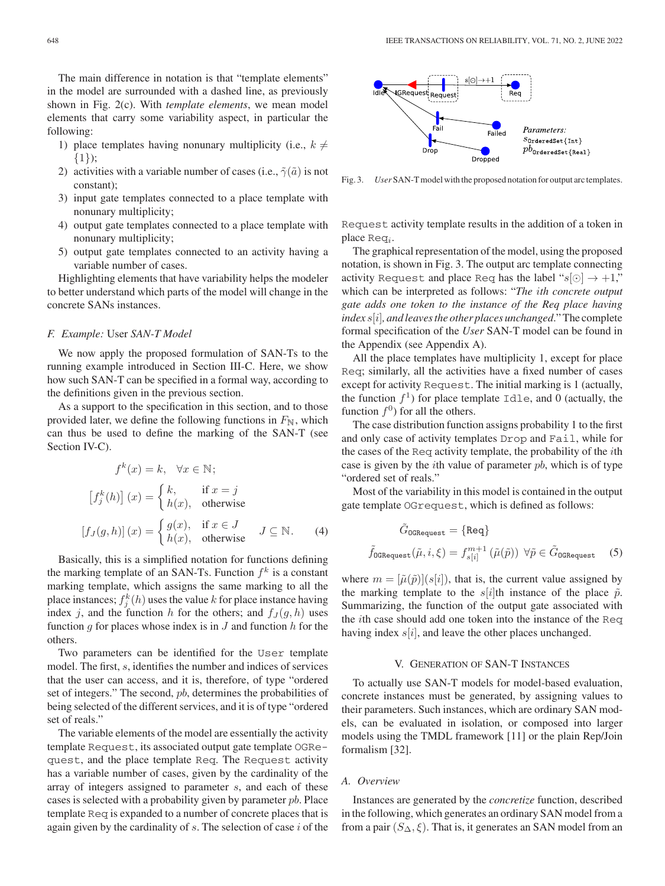The main difference in notation is that "template elements" in the model are surrounded with a dashed line, as previously shown in Fig. 2(c). With *template elements*, we mean model elements that carry some variability aspect, in particular the following:

- 1) place templates having nonunary multiplicity (i.e.,  $k \neq$ {1});
- 2) activities with a variable number of cases (i.e.,  $\tilde{\gamma}(\tilde{a})$  is not constant);
- 3) input gate templates connected to a place template with nonunary multiplicity;
- 4) output gate templates connected to a place template with nonunary multiplicity;
- 5) output gate templates connected to an activity having a variable number of cases.

Highlighting elements that have variability helps the modeler to better understand which parts of the model will change in the concrete SANs instances.

#### *F. Example:* User *SAN-T Model*

We now apply the proposed formulation of SAN-Ts to the running example introduced in Section III-C. Here, we show how such SAN-T can be specified in a formal way, according to the definitions given in the previous section.

As a support to the specification in this section, and to those provided later, we define the following functions in  $F_N$ , which can thus be used to define the marking of the SAN-T (see Section IV-C).

$$
f^{k}(x) = k, \quad \forall x \in \mathbb{N};
$$

$$
[f_{j}^{k}(h)](x) = \begin{cases} k, & \text{if } x = j \\ h(x), & \text{otherwise} \end{cases}
$$

$$
[f_{J}(g, h)](x) = \begin{cases} g(x), & \text{if } x \in J \\ h(x), & \text{otherwise} \end{cases} J \subseteq \mathbb{N}.
$$
 (4)

Basically, this is a simplified notation for functions defining the marking template of an SAN-Ts. Function  $f^k$  is a constant marking template, which assigns the same marking to all the place instances;  $f_A^k(h)$  uses the value k for place instance having<br>index i and the function h for the others; and  $f_A(a, h)$  uses index j, and the function h for the others; and  $f_J(g, h)$  uses function  $g$  for places whose index is in  $J$  and function  $h$  for the others.

Two parameters can be identified for the User template model. The first, s, identifies the number and indices of services that the user can access, and it is, therefore, of type "ordered set of integers." The second, pb, determines the probabilities of being selected of the different services, and it is of type "ordered set of reals."

The variable elements of the model are essentially the activity template Request, its associated output gate template OGRequest, and the place template Req. The Request activity has a variable number of cases, given by the cardinality of the array of integers assigned to parameter s, and each of these cases is selected with a probability given by parameter pb. Place template Req is expanded to a number of concrete places that is again given by the cardinality of  $s$ . The selection of case  $i$  of the



Fig. 3. *User* SAN-T model with the proposed notation for output arc templates.

Request activity template results in the addition of a token in place  $\text{Re}q_i$ .

The graphical representation of the model, using the proposed notation, is shown in Fig. 3. The output arc template connecting activity Request and place Req has the label " $s[0] \rightarrow +1$ ," which can be interpreted as follows: "*The* i*th concrete output gate adds one token to the instance of the Req place having index* s[i]*, and leaves the other places unchanged*." The complete formal specification of the *User* SAN-T model can be found in the Appendix (see Appendix A).

All the place templates have multiplicity 1, except for place Req; similarly, all the activities have a fixed number of cases except for activity Request. The initial marking is 1 (actually, the function  $f<sup>1</sup>$ ) for place template Idle, and 0 (actually, the function  $f^0$ ) for all the others.

The case distribution function assigns probability 1 to the first and only case of activity templates Drop and Fail, while for the cases of the Req activity template, the probability of the ith case is given by the *i*th value of parameter  $pb$ , which is of type "ordered set of reals."

Most of the variability in this model is contained in the output gate template OGrequest, which is defined as follows:

$$
\tilde{G}_{0\text{GRequest}} = \{\text{Req}\}
$$
\n
$$
\tilde{f}_{0\text{GRequest}}(\tilde{\mu}, i, \xi) = f_{s[i]}^{m+1}(\tilde{\mu}(\tilde{p})) \ \forall \tilde{p} \in \tilde{G}_{0\text{GRequest}} \quad (5)
$$

where  $m = [\tilde{\mu}(\tilde{p})](s[i])$ , that is, the current value assigned by the marking template to the s[i]th instance of the place  $\tilde{p}$ . Summarizing, the function of the output gate associated with the ith case should add one token into the instance of the Req having index  $s[i]$ , and leave the other places unchanged.

## V. GENERATION OF SAN-T INSTANCES

To actually use SAN-T models for model-based evaluation, concrete instances must be generated, by assigning values to their parameters. Such instances, which are ordinary SAN models, can be evaluated in isolation, or composed into larger models using the TMDL framework [11] or the plain Rep/Join formalism [32].

## *A. Overview*

Instances are generated by the *concretize* function, described in the following, which generates an ordinary SAN model from a from a pair  $(S_{\Delta}, \xi)$ . That is, it generates an SAN model from an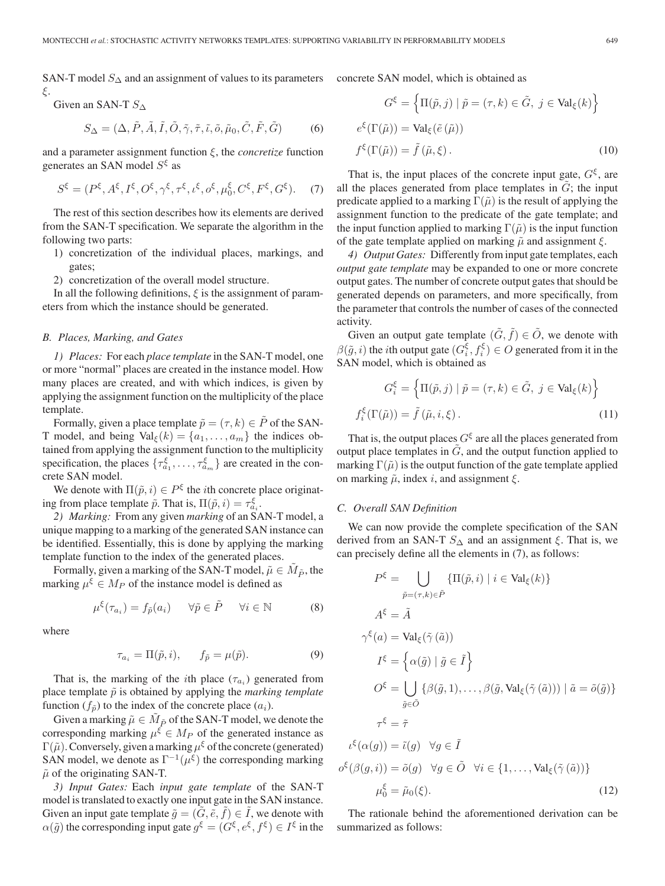SAN-T model  $S_\Delta$  and an assignment of values to its parameters concrete SAN model, which is obtained as ξ.

Given an SAN-T 
$$
S_{\Delta}
$$
  
\n
$$
S_{\Delta} = (\Delta, \tilde{P}, \tilde{A}, \tilde{I}, \tilde{O}, \tilde{\gamma}, \tilde{\tau}, \tilde{\iota}, \tilde{o}, \tilde{\mu}_0, \tilde{C}, \tilde{F}, \tilde{G})
$$
\n(6)

and a parameter assignment function ξ, the *concretize* function generates an SAN model  $S^{\xi}$  as

$$
S^{\xi} = (P^{\xi}, A^{\xi}, I^{\xi}, O^{\xi}, \gamma^{\xi}, \tau^{\xi}, \iota^{\xi}, o^{\xi}, \mu_0^{\xi}, C^{\xi}, F^{\xi}, G^{\xi}).
$$
 (7)

The rest of this section describes how its elements are derived from the SAN-T specification. We separate the algorithm in the following two parts:

- 1) concretization of the individual places, markings, and gates;
- 2) concretization of the overall model structure.

In all the following definitions,  $\xi$  is the assignment of parameters from which the instance should be generated.

## *B. Places, Marking, and Gates*

*1) Places:* For each *place template* in the SAN-T model, one or more "normal" places are created in the instance model. How many places are created, and with which indices, is given by applying the assignment function on the multiplicity of the place template.

Formally, given a place template  $\tilde{p} = (\tau, k) \in P$  of the SAN-T model, and being  $\text{Val}_{\xi}(k) = \{a_1, \ldots, a_m\}$  the indices obtained from applying the assignment function to the multiplicity specification, the places  $\{\tau_{a_1}^{\xi}, \ldots, \tau_{a_m}^{\xi}\}\$  are created in the concrete SAN model crete SAN model.

We denote with  $\Pi(\tilde{p}, i) \in P^{\xi}$  the *i*th concrete place originating from place template  $\tilde{p}$ . That is,  $\Pi(\tilde{p}, i) = \tau_{a_i}^{\xi_i}$ .<br>
2) Marking: From any given marking of an SA

*2) Marking:* From any given *marking* of an SAN-T model, a unique mapping to a marking of the generated SAN instance can be identified. Essentially, this is done by applying the marking template function to the index of the generated places.

Formally, given a marking of the SAN-T model,  $\tilde{\mu} \in M_{\tilde{P}}$ , the marking  $\mu^{\xi} \in M_P$  of the instance model is defined as

$$
\mu^{\xi}(\tau_{a_i}) = f_{\tilde{p}}(a_i) \qquad \forall \tilde{p} \in \tilde{P} \qquad \forall i \in \mathbb{N} \tag{8}
$$

where

$$
\tau_{a_i} = \Pi(\tilde{p}, i), \qquad f_{\tilde{p}} = \mu(\tilde{p}). \tag{9}
$$

That is, the marking of the *i*th place  $(\tau_{a_i})$  generated from place template  $\tilde{p}$  is obtained by applying the *marking template* function  $(f_{\tilde{p}})$  to the index of the concrete place  $(a_i)$ .

Given a marking  $\tilde{\mu} \in M_{\tilde{P}}$  of the SAN-T model, we denote the corresponding marking  $\mu^{\xi} \in M_P$  of the generated instance as  $\Gamma(\tilde{\mu})$ . Conversely, given a marking  $\mu^{\xi}$  of the concrete (generated) SAN model, we denote as  $\Gamma^{-1}(\mu^{\xi})$  the corresponding marking  $\tilde{\mu}$  of the originating SAN-T.

*3) Input Gates:* Each *input gate template* of the SAN-T model is translated to exactly one input gate in the SAN instance. Given an input gate template  $\tilde{g} = (\tilde{G}, \tilde{e}, \tilde{f}) \in \tilde{I}$ , we denote with  $\alpha(\tilde{q})$  the corresponding input gate  $g^{\xi} = (G^{\xi}, e^{\xi}, f^{\xi}) \in I^{\xi}$  in the

$$
G^{\xi} = \left\{ \Pi(\tilde{p}, j) \mid \tilde{p} = (\tau, k) \in \tilde{G}, j \in \text{Val}_{\xi}(k) \right\}
$$

$$
e^{\xi}(\Gamma(\tilde{\mu})) = \text{Val}_{\xi}(\tilde{e}(\tilde{\mu}))
$$

$$
f^{\xi}(\Gamma(\tilde{\mu})) = \tilde{f}(\tilde{\mu}, \xi).
$$
(10)

That is, the input places of the concrete input gate,  $G^{\xi}$ , are all the places generated from place templates in  $G$ ; the input predicate applied to a marking  $\Gamma(\tilde{\mu})$  is the result of applying the assignment function to the predicate of the gate template; and the input function applied to marking  $\Gamma(\tilde{\mu})$  is the input function of the gate template applied on marking  $\tilde{\mu}$  and assignment  $\xi$ .

*4) Output Gates:* Differently from input gate templates, each *output gate template* may be expanded to one or more concrete output gates. The number of concrete output gates that should be generated depends on parameters, and more specifically, from the parameter that controls the number of cases of the connected activity.

Given an output gate template  $(\tilde{G}, \tilde{f}) \in \tilde{O}$ , we denote with  $\beta(\tilde{g}, i)$  the *i*th output gate  $(G_i^{\xi}, f_i^{\xi}) \in O$  generated from it in the SAN model, which is obtained as SAN model, which is obtained as

$$
G_i^{\xi} = \left\{ \Pi(\tilde{p}, j) \mid \tilde{p} = (\tau, k) \in \tilde{G}, \ j \in \text{Val}_{\xi}(k) \right\}
$$

$$
f_i^{\xi}(\Gamma(\tilde{\mu})) = \tilde{f}(\tilde{\mu}, i, \xi).
$$
(11)

That is, the output places  $G^{\xi}$  are all the places generated from output place templates in  $G$ , and the output function applied to marking  $\Gamma(\tilde{\mu})$  is the output function of the gate template applied on marking  $\tilde{\mu}$ , index *i*, and assignment  $\xi$ .

#### *C. Overall SAN Definition*

We can now provide the complete specification of the SAN derived from an SAN-T  $S_{\Delta}$  and an assignment  $\xi$ . That is, we can precisely define all the elements in (7), as follows:

$$
P^{\xi} = \bigcup_{\tilde{p} = (\tau, k) \in \tilde{P}} \{ \Pi(\tilde{p}, i) \mid i \in \text{Val}_{\xi}(k) \}
$$
  
\n
$$
A^{\xi} = \tilde{A}
$$
  
\n
$$
\gamma^{\xi}(a) = \text{Val}_{\xi}(\tilde{\gamma}(\tilde{a}))
$$
  
\n
$$
I^{\xi} = \left\{ \alpha(\tilde{g}) \mid \tilde{g} \in \tilde{I} \right\}
$$
  
\n
$$
O^{\xi} = \bigcup_{\tilde{g} \in \tilde{O}} \left\{ \beta(\tilde{g}, 1), \dots, \beta(\tilde{g}, \text{Val}_{\xi}(\tilde{\gamma}(\tilde{a}))) \mid \tilde{a} = \tilde{o}(\tilde{g}) \right\}
$$
  
\n
$$
\tau^{\xi} = \tilde{\tau}
$$
  
\n
$$
\iota^{\xi}(\alpha(g)) = \tilde{\iota}(g) \quad \forall g \in \tilde{I}
$$
  
\n
$$
o^{\xi}(\beta(g, i)) = \tilde{o}(g) \quad \forall g \in \tilde{O} \quad \forall i \in \{1, \dots, \text{Val}_{\xi}(\tilde{\gamma}(\tilde{a})) \}
$$
  
\n
$$
\mu^{\xi}_{0} = \tilde{\mu}_{0}(\xi).
$$
  
\n(12)

The rationale behind the aforementioned derivation can be summarized as follows: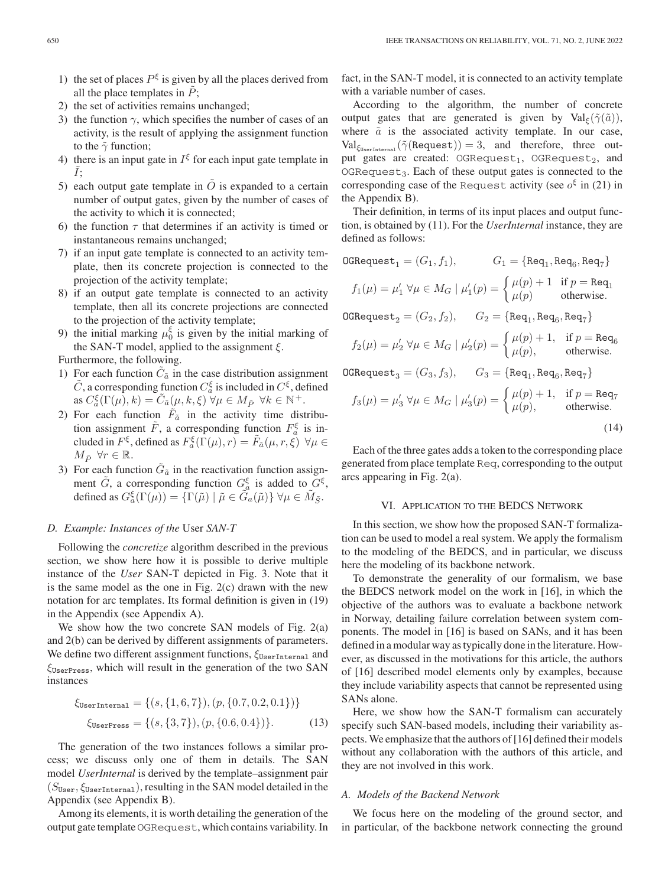- 1) the set of places  $P^{\xi}$  is given by all the places derived from all the place templates in  $\tilde{P}$ ;
- 2) the set of activities remains unchanged;
- 3) the function  $\gamma$ , which specifies the number of cases of an activity, is the result of applying the assignment function to the  $\tilde{\gamma}$  function;
- 4) there is an input gate in  $I^{\xi}$  for each input gate template in  $\tilde{I}$ :
- 5) each output gate template in  $\ddot{O}$  is expanded to a certain number of output gates, given by the number of cases of the activity to which it is connected;
- 6) the function  $\tau$  that determines if an activity is timed or instantaneous remains unchanged;
- 7) if an input gate template is connected to an activity template, then its concrete projection is connected to the projection of the activity template;
- 8) if an output gate template is connected to an activity template, then all its concrete projections are connected to the projection of the activity template;
- 9) the initial marking  $\mu_0^5$  is given by the initial marking of the SAN-T model, annihed to the assignment  $\xi$ the SAN-T model, applied to the assignment  $\xi$ .

Furthermore, the following.

- 1) For each function  $C_{\tilde{a}}$  in the case distribution assignment  $\tilde{C}$ , a corresponding function  $C_{\tilde{a}}^{\xi}$  is included in  $C^{\xi}$ , defined<br>as  $C^{\xi}(\Gamma(u), k) - \tilde{C}_{\xi}(u, k, \xi)$   $\forall u \in M_{\tilde{\chi}}$   $\forall k \in \mathbb{N}^+$ as  $C_{\tilde{a}}^{\xi}(\Gamma(\mu), k) = \tilde{C}_{\tilde{a}}(\mu, k, \xi) \forall \mu \in M_{\tilde{P}} \forall k \in \mathbb{N}^+.$ <br>For each function  $\tilde{F}$  in the estimity time dist
- 2) For each function  $\tilde{F}_{\tilde{a}}$  in the activity time distribution assignment  $\tilde{F}$ , a corresponding function  $F_a^{\xi}$  is in-<br>cluded in  $F_2^{\xi}$  defined as  $F_2^{\xi}(\Gamma(\mu), r) - \tilde{F}_z(\mu, r, \xi)$   $\forall \mu \in$ cluded in  $F^{\xi}$ , defined as  $F^{\xi}_{a}(\Gamma(\mu), r) = \tilde{F}_{\tilde{a}}(\mu, r, \xi) \ \forall \mu \in M$ ,  $\forall r \in \mathbb{R}$  $M_{\tilde{P}} \,\,\forall r \in \mathbb{R}.$
- 3) For each function  $\tilde{G}_{\tilde{a}}$  in the reactivation function assignment  $\tilde{G}$ , a corresponding function  $G_{\tilde{G}}^{\xi}$  is added to  $G^{\xi}$ ,<br>defined as  $G^{\xi}(\Gamma(u)) = \Gamma(\tilde{u}) | \tilde{u} \in \tilde{G}$  ( $\tilde{u} \rangle$ )  $\forall u \in \tilde{M}$ . defined as  $G_{a}^{\xi}(\Gamma(\mu)) = \{\Gamma(\tilde{\mu}) \mid \tilde{\mu} \in \tilde{G}_{a}(\tilde{\mu})\} \forall \mu \in \tilde{M}_{\tilde{S}}.$

## *D. Example: Instances of the* User *SAN-T*

Following the *concretize* algorithm described in the previous section, we show here how it is possible to derive multiple instance of the *User* SAN-T depicted in Fig. 3. Note that it is the same model as the one in Fig. 2(c) drawn with the new notation for arc templates. Its formal definition is given in (19) in the Appendix (see Appendix A).

We show how the two concrete SAN models of Fig. 2(a) and 2(b) can be derived by different assignments of parameters. We define two different assignment functions,  $\xi_{\text{UserInternal}}$  and  $\xi_{\text{UserPress}}$ , which will result in the generation of the two SAN instances

$$
\xi_{\text{UserInternal}} = \{ (s, \{1, 6, 7\}), (p, \{0.7, 0.2, 0.1\}) \}
$$
  

$$
\xi_{\text{UserPress}} = \{ (s, \{3, 7\}), (p, \{0.6, 0.4\}) \}.
$$
 (13)

The generation of the two instances follows a similar process; we discuss only one of them in details. The SAN model *UserInternal* is derived by the template–assignment pair  $(S<sub>User</sub>, \xi<sub>UserInternal</sub>)$ , resulting in the SAN model detailed in the Appendix (see Appendix B).

Among its elements, it is worth detailing the generation of the output gate templateOGRequest, which contains variability. In

fact, in the SAN-T model, it is connected to an activity template with a variable number of cases.

According to the algorithm, the number of concrete output gates that are generated is given by  $Val_{\xi}(\tilde{\gamma}(\tilde{a}))$ , where  $\tilde{a}$  is the associated activity template. In our case,  $Val_{\xi_{UseerInterval}}(\tilde{\gamma}(Request)) = 3$ , and therefore, three output gates are created:  $OGE$ equest<sub>1</sub>,  $OGE$ equest<sub>2</sub>, and  $OGRequest<sub>3</sub>$ . Each of these output gates is connected to the corresponding case of the Request activity (see  $o^{\xi}$  in (21) in the Appendix B).

Their definition, in terms of its input places and output function, is obtained by (11). For the *UserInternal* instance, they are defined as follows:

$$
\texttt{OGRequest}_1 = (G_1, f_1), \qquad G_1 = \{\texttt{Req}_1, \texttt{Req}_6, \texttt{Req}_7\}
$$

$$
f_1(\mu) = \mu'_1 \,\,\forall \mu \in M_G \mid \mu'_1(p) = \begin{cases} \mu(p) + 1 & \text{if } p = \text{Re}q_1 \\ \mu(p) & \text{otherwise.} \end{cases}
$$

 $OGRequest_2 = (G_2, f_2), G_2 = \{Req_1, Req_6, Req_7\}$ 

$$
f_2(\mu) = \mu'_2 \ \forall \mu \in M_G \mid \mu'_2(p) = \begin{cases} \mu(p) + 1, & \text{if } p = \text{Req}_6 \\ \mu(p), & \text{otherwise.} \end{cases}
$$

$$
\texttt{OGRequest}_3 = (G_3, f_3), \qquad G_3 = \{\texttt{Req}_1, \texttt{Req}_6, \texttt{Req}_7\}
$$

$$
f_3(\mu) = \mu'_3 \,\forall \mu \in M_G \mid \mu'_3(p) = \begin{cases} \mu(p) + 1, & \text{if } p = \text{Req}_7\\ \mu(p), & \text{otherwise.} \end{cases} \tag{14}
$$

Each of the three gates adds a token to the corresponding place generated from place template Req, corresponding to the output arcs appearing in Fig. 2(a).

## VI. APPLICATION TO THE BEDCS NETWORK

In this section, we show how the proposed SAN-T formalization can be used to model a real system. We apply the formalism to the modeling of the BEDCS, and in particular, we discuss here the modeling of its backbone network.

To demonstrate the generality of our formalism, we base the BEDCS network model on the work in [16], in which the objective of the authors was to evaluate a backbone network in Norway, detailing failure correlation between system components. The model in [16] is based on SANs, and it has been defined in a modular way as typically done in the literature. However, as discussed in the motivations for this article, the authors of [16] described model elements only by examples, because they include variability aspects that cannot be represented using SANs alone.

Here, we show how the SAN-T formalism can accurately specify such SAN-based models, including their variability aspects.We emphasize that the authors of [16] defined their models without any collaboration with the authors of this article, and they are not involved in this work.

# *A. Models of the Backend Network*

We focus here on the modeling of the ground sector, and in particular, of the backbone network connecting the ground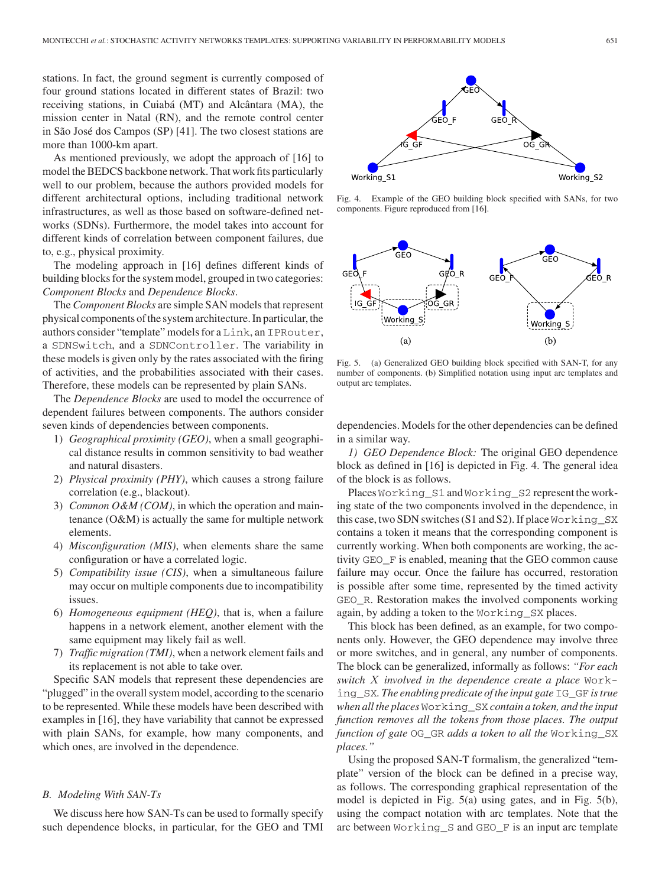stations. In fact, the ground segment is currently composed of four ground stations located in different states of Brazil: two receiving stations, in Cuiabá (MT) and Alcântara (MA), the mission center in Natal (RN), and the remote control center in São José dos Campos (SP) [41]. The two closest stations are more than 1000-km apart.

As mentioned previously, we adopt the approach of [16] to model the BEDCS backbone network. That work fits particularly well to our problem, because the authors provided models for different architectural options, including traditional network infrastructures, as well as those based on software-defined networks (SDNs). Furthermore, the model takes into account for different kinds of correlation between component failures, due to, e.g., physical proximity.

The modeling approach in [16] defines different kinds of building blocks for the system model, grouped in two categories: *Component Blocks* and *Dependence Blocks*.

The *Component Blocks* are simple SAN models that represent physical components of the system architecture. In particular, the authors consider "template" models for a Link, an IPRouter, a SDNSwitch, and a SDNController. The variability in these models is given only by the rates associated with the firing of activities, and the probabilities associated with their cases. Therefore, these models can be represented by plain SANs.

The *Dependence Blocks* are used to model the occurrence of dependent failures between components. The authors consider seven kinds of dependencies between components.

- 1) *Geographical proximity (GEO)*, when a small geographical distance results in common sensitivity to bad weather and natural disasters.
- 2) *Physical proximity (PHY)*, which causes a strong failure correlation (e.g., blackout).
- 3) *Common O&M (COM)*, in which the operation and maintenance (O&M) is actually the same for multiple network elements.
- 4) *Misconfiguration (MIS)*, when elements share the same configuration or have a correlated logic.
- 5) *Compatibility issue (CIS)*, when a simultaneous failure may occur on multiple components due to incompatibility issues.
- 6) *Homogeneous equipment (HEQ)*, that is, when a failure happens in a network element, another element with the same equipment may likely fail as well.
- 7) *Traffic migration (TMI)*, when a network element fails and its replacement is not able to take over.

Specific SAN models that represent these dependencies are "plugged" in the overall system model, according to the scenario to be represented. While these models have been described with examples in [16], they have variability that cannot be expressed with plain SANs, for example, how many components, and which ones, are involved in the dependence.

## *B. Modeling With SAN-Ts*

We discuss here how SAN-Ts can be used to formally specify such dependence blocks, in particular, for the GEO and TMI



Fig. 4. Example of the GEO building block specified with SANs, for two components. Figure reproduced from [16].



Fig. 5. (a) Generalized GEO building block specified with SAN-T, for any number of components. (b) Simplified notation using input arc templates and output arc templates.

dependencies. Models for the other dependencies can be defined in a similar way.

*1) GEO Dependence Block:* The original GEO dependence block as defined in [16] is depicted in Fig. 4. The general idea of the block is as follows.

Places Working\_S1 and Working\_S2 represent the working state of the two components involved in the dependence, in this case, two SDN switches (S1 and S2). If place Working\_SX contains a token it means that the corresponding component is currently working. When both components are working, the activity GEO\_F is enabled, meaning that the GEO common cause failure may occur. Once the failure has occurred, restoration is possible after some time, represented by the timed activity GEO\_R. Restoration makes the involved components working again, by adding a token to the Working\_SX places.

This block has been defined, as an example, for two components only. However, the GEO dependence may involve three or more switches, and in general, any number of components. The block can be generalized, informally as follows: *"For each switch* X *involved in the dependence create a place* Working\_SX*. The enabling predicate of the input gate* IG\_GF *is true when all the places* Working\_SX *contain a token, and the input function removes all the tokens from those places. The output function of gate* OG\_GR *adds a token to all the* Working\_SX *places."*

Using the proposed SAN-T formalism, the generalized "template" version of the block can be defined in a precise way, as follows. The corresponding graphical representation of the model is depicted in Fig. 5(a) using gates, and in Fig. 5(b), using the compact notation with arc templates. Note that the arc between Working\_S and GEO\_F is an input arc template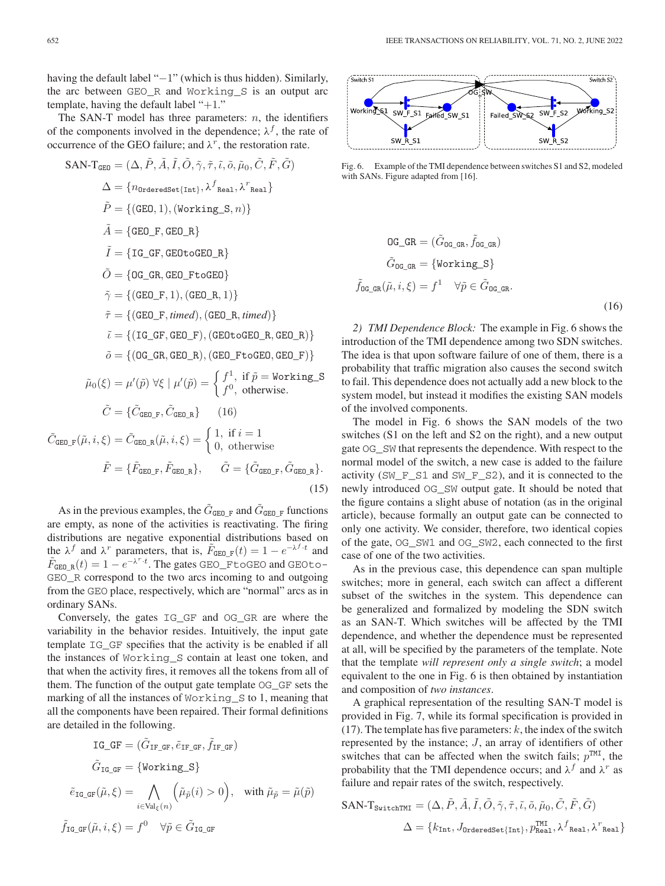having the default label "−1" (which is thus hidden). Similarly, the arc between GEO\_R and Working\_S is an output arc template, having the default label " $+1$ ."

The SAN-T model has three parameters:  $n$ , the identifiers of the components involved in the dependence;  $\lambda^{f}$ , the rate of occurrence of the GEO failure; and  $\lambda^r$ , the restoration rate.

$$
SAN-T_{GE0} = (\Delta, \tilde{P}, \tilde{A}, \tilde{I}, \tilde{O}, \tilde{\gamma}, \tilde{\tau}, \tilde{\iota}, \tilde{\partial}, \tilde{\mu}_0, \tilde{C}, \tilde{F}, \tilde{G})
$$
\n
$$
\Delta = \{n_{0rderedSet\{\text{Int}\}}, \lambda^f_{\text{Real}}, \lambda^r_{\text{Real}}\}
$$
\n
$$
\tilde{P} = \{(\text{GE0}, 1), (\text{Working\_S}, n)\}
$$
\n
$$
\tilde{A} = \{\text{GE0\_F}, \text{GE0\_R}\}
$$
\n
$$
\tilde{I} = \{\text{IG\_GF}, \text{GE0-CE0\_R}\}
$$
\n
$$
\tilde{\gamma} = \{(\text{GE0\_F}, 1), (\text{GE0\_R}, 1)\}
$$
\n
$$
\tilde{\tau} = \{(\text{GE0\_F}, \text{timed}), (\text{GE0\_R}, \text{timed})\}
$$
\n
$$
\tilde{\iota} = \{(\text{IG\_GF}, \text{GE0\_R}), (\text{GE0-CE0}, \text{GE0\_R})\}
$$
\n
$$
\tilde{\iota} = \{(\text{IG\_GR}, \text{GE0\_R}), (\text{GE0\_Fto} \text{GE0}, \text{GE0\_F})\}
$$
\n
$$
\tilde{\mu}_0(\xi) = \mu'(\tilde{p}) \forall \xi \mid \mu'(\tilde{p}) = \begin{cases} f^1, & \text{if } \tilde{p} = \text{Working\_S} \\ f^0, & \text{otherwise.} \end{cases}
$$
\n
$$
\tilde{C} = \{\tilde{C}_{\text{GE0\_F}}, \tilde{C}_{\text{GE0\_R}}\} \qquad (16)
$$
\n
$$
\tilde{C}_{\text{GE0\_F}}(\tilde{\mu}, i, \xi) = \tilde{C}_{\text{GE0\_R}}(\tilde{\mu}, i, \xi) = \begin{cases} 1, & \text{if } i = 1 \\ 0, & \text{otherwise.} \end{cases}
$$
\n
$$
\tilde{F} = \{\tilde{F}_{\text{GE0\_F}}, \tilde{F}_{\text{GE0\_R}}\}, \qquad \tilde{G} = \{\tilde{G}_{\text{GE0\_F}}, \tilde{G}_{
$$

As in the previous examples, the  $\tilde{G}_{\texttt{GEO_F}}$  and  $\tilde{G}_{\texttt{GEO_F}}$  functions are empty, as none of the activities is reactivating. The firing distributions are negative exponential distributions based on the  $\lambda^f$  and  $\lambda^r$  parameters, that is,  $\tilde{F}_{\text{GEO}-F}(t)=1 - e^{-\lambda^f \cdot t}$  and  $\tilde{F}_{GEO_R}(t) = 1 - e^{-\lambda^r \cdot t}$ . The gates GEO\_FtoGEO and GEOto-<br>GEO B correspond to the two arcs incoming to and outgoing GEO\_R correspond to the two arcs incoming to and outgoing from the GEO place, respectively, which are "normal" arcs as in ordinary SANs.

(15)

Conversely, the gates IG\_GF and OG\_GR are where the variability in the behavior resides. Intuitively, the input gate template IG\_GF specifies that the activity is be enabled if all the instances of Working\_S contain at least one token, and that when the activity fires, it removes all the tokens from all of them. The function of the output gate template OG\_GF sets the marking of all the instances of Working\_S to 1, meaning that all the components have been repaired. Their formal definitions are detailed in the following.

$$
\begin{aligned} \text{IG\_GF} &= \big(\tilde{G}_{\text{IF\_GF}}, \tilde{e}_{\text{IF\_GF}}, \tilde{f}_{\text{IF\_GF}} \big) \\ \tilde{G}_{\text{IG\_GF}} &= \big\{\text{Working\_S}\big\} \\ \tilde{e}_{\text{IG\_GF}}(\tilde{\mu}, \xi) &= \bigwedge_{i \in \text{Val}_{\xi}(n)} \Big(\tilde{\mu}_{\tilde{p}}(i) > 0\Big), \quad \text{with } \tilde{\mu}_{\tilde{p}} = \tilde{\mu}(\tilde{p}) \\ \tilde{f}_{\text{IG\_GF}}(\tilde{\mu}, i, \xi) &= f^0 \quad \forall \tilde{p} \in \tilde{G}_{\text{IG\_GF}} \end{aligned}
$$



Fig. 6. Example of the TMI dependence between switches S1 and S2, modeled with SANs. Figure adapted from [16].

$$
OG\_GR = (\tilde{G}_{OG\_GR}, \tilde{f}_{OG\_GR})
$$
  
\n
$$
\tilde{G}_{OG\_GR} = \{Working\_S\}
$$
  
\n
$$
\tilde{f}_{OG\_GR}(\tilde{\mu}, i, \xi) = f^1 \quad \forall \tilde{p} \in \tilde{G}_{OG\_GR}.
$$
\n(16)

*2) TMI Dependence Block:* The example in Fig. 6 shows the introduction of the TMI dependence among two SDN switches. The idea is that upon software failure of one of them, there is a probability that traffic migration also causes the second switch to fail. This dependence does not actually add a new block to the system model, but instead it modifies the existing SAN models of the involved components.

The model in Fig. 6 shows the SAN models of the two switches (S1 on the left and S2 on the right), and a new output gate OG\_SW that represents the dependence. With respect to the normal model of the switch, a new case is added to the failure activity (SW\_F\_S1 and SW\_F\_S2), and it is connected to the newly introduced OG\_SW output gate. It should be noted that the figure contains a slight abuse of notation (as in the original article), because formally an output gate can be connected to only one activity. We consider, therefore, two identical copies of the gate, OG\_SW1 and OG\_SW2, each connected to the first case of one of the two activities.

As in the previous case, this dependence can span multiple switches; more in general, each switch can affect a different subset of the switches in the system. This dependence can be generalized and formalized by modeling the SDN switch as an SAN-T. Which switches will be affected by the TMI dependence, and whether the dependence must be represented at all, will be specified by the parameters of the template. Note that the template *will represent only a single switch*; a model equivalent to the one in Fig. 6 is then obtained by instantiation and composition of *two instances*.

A graphical representation of the resulting SAN-T model is provided in Fig. 7, while its formal specification is provided in (17). The template has five parameters:  $k$ , the index of the switch represented by the instance; J, an array of identifiers of other switches that can be affected when the switch fails;  $p^{TM}$ , the probability that the TMI dependence occurs; and  $\lambda^f$  and  $\lambda^r$  as failure and repair rates of the switch, respectively.

$$
\begin{aligned} \text{SAN-T}_{\text{SwitchTMI}} &= (\Delta, \tilde{P}, \tilde{A}, \tilde{I}, \tilde{O}, \tilde{\gamma}, \tilde{\tau}, \tilde{\iota}, \tilde{o}, \tilde{\mu}_0, \tilde{C}, \tilde{F}, \tilde{G}) \\ & \Delta = \{k_{\text{Int}}, J_{\text{OrderedSet}\{\text{Int}\}}, p_{\text{Real}}^{\text{TMI}}, \lambda^f_{\text{ Real}}, \lambda^r_{\text{Real}}\} \end{aligned}
$$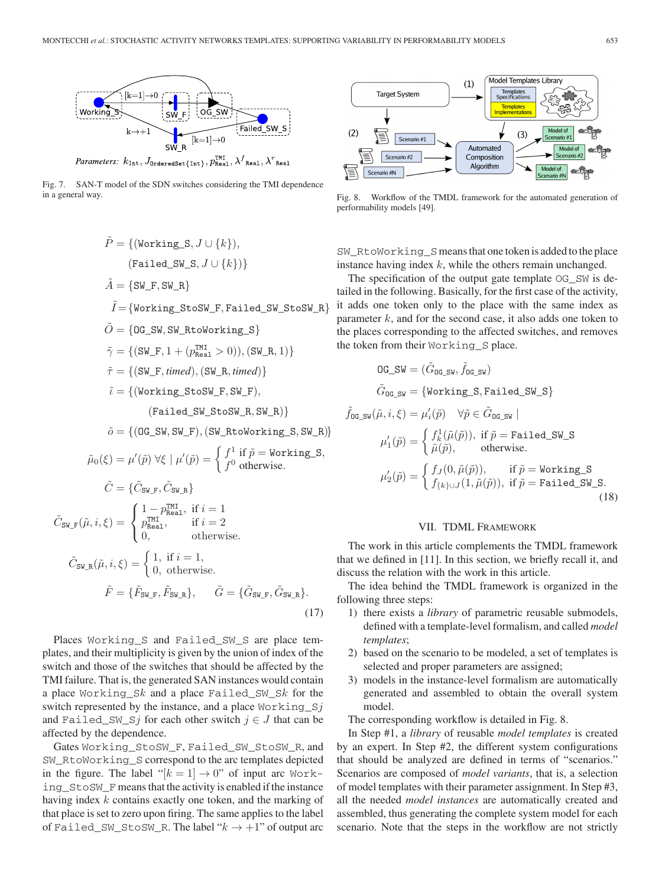

Fig. 7. SAN-T model of the SDN switches considering the TMI dependence in a general way.

$$
\tilde{P} = \{(\text{Working\_S}, J \cup \{k\}),
$$
\n
$$
(\text{Failed\_SW\_S}, J \cup \{k\})\}
$$
\n
$$
\tilde{A} = \{\text{SW\_F}, \text{SW\_R}\}
$$
\n
$$
\tilde{I} = \{\text{Working\_StoSW\_F}, \text{Failed\_SW\_StoSW\_R}\}
$$
\n
$$
\tilde{O} = \{0 \text{G\_SW}, \text{SW\_RtoWorking\_S}\}
$$
\n
$$
\tilde{\gamma} = \{(\text{SW\_F}, 1 + (p_{\text{Real}}^{\text{MI}} > 0)), (\text{SW\_R}, 1)\}
$$
\n
$$
\tilde{\tau} = \{(\text{SW\_F}, \text{timed}), (\text{SW\_R}, \text{timed})\}
$$
\n
$$
\tilde{\iota} = \{(\text{Working\_StoSW\_F}, \text{SW\_F}),
$$
\n
$$
(\text{Failed\_SW\_StoSW\_R}, \text{SW\_R})\}
$$
\n
$$
\tilde{o} = \{(\text{OG\_SW}, \text{SW\_F}), (\text{SW\_RtoWorking\_S}, \text{SW\_R})\}
$$
\n
$$
\tilde{\mu}_0(\xi) = \mu'(\tilde{p}) \; \forall \xi \mid \mu'(\tilde{p}) = \begin{cases} f^1 \text{ if } \tilde{p} = \text{Working\_S}, \\ f^0 \text{ otherwise.} \end{cases}
$$
\n
$$
\tilde{C} = \{\tilde{C}_{\text{SW\_F}}, \tilde{C}_{\text{SW\_R}}\}
$$
\n
$$
\tilde{C} = \begin{cases} 1 - p_{\text{Real}}^{\text{MI}}, \text{ if } i = 1 \\ 0, \text{ otherwise.} \end{cases}
$$
\n
$$
\tilde{C}_{\text{SW\_R}}(\tilde{\mu}, i, \xi) = \begin{cases} 1, \text{ if } i = 1, \\ 0, \text{ otherwise.} \end{cases}
$$
\n
$$
\tilde{F} = \{\tilde{F}_{\text{SW\_F}}, \tilde{F}_{\text{SW\_R}}\}, \quad \tilde{G} = \{\tilde{G}_{\text{SW\_F}}, \tilde{G}_{\text{SW\_R}}\}. \end{cases} \tag{17}
$$

Places Working\_S and Failed\_SW\_S are place templates, and their multiplicity is given by the union of index of the switch and those of the switches that should be affected by the TMI failure. That is, the generated SAN instances would contain a place Working\_Sk and a place Failed\_SW\_Sk for the switch represented by the instance, and a place  $Working_Sj$ and Failed\_SW\_Sj for each other switch  $j \in J$  that can be affected by the dependence.

 $\tilde{C}_{\texttt{SW-F}}$ 

Gates Working StoSW F, Failed SW StoSW R, and SW\_RtoWorking\_S correspond to the arc templates depicted in the figure. The label " $[k = 1] \rightarrow 0$ " of input arc Working\_StoSW\_F means that the activity is enabled if the instance having index k contains exactly one token, and the marking of that place is set to zero upon firing. The same applies to the label of Failed SW\_StoSW\_R. The label " $k \rightarrow +1$ " of output arc



Fig. 8. Workflow of the TMDL framework for the automated generation of performability models [49].

SW\_RtoWorking\_Smeans that one token is added to the place instance having index  $k$ , while the others remain unchanged.

The specification of the output gate template OG\_SW is detailed in the following. Basically, for the first case of the activity, it adds one token only to the place with the same index as parameter  $k$ , and for the second case, it also adds one token to the places corresponding to the affected switches, and removes the token from their Working\_S place.

$$
0\mathbf{G}\_\mathbf{SW} = (\tilde{G}_{0\mathbf{G}\_\mathbf{SW}}, \tilde{f}_{0\mathbf{G}\_\mathbf{SW}})
$$
  
\n
$$
\tilde{G}_{0\mathbf{G}\_\mathbf{SW}} = \{\text{Working\_S}, \text{Failed\_SW\_S}\}
$$
  
\n
$$
\tilde{f}_{0\mathbf{G}\_\mathbf{SW}}(\tilde{\mu}, i, \xi) = \mu'_i(\tilde{p}) \quad \forall \tilde{p} \in \tilde{G}_{0\mathbf{G}\_\mathbf{SW}} |
$$
  
\n
$$
\mu'_1(\tilde{p}) = \begin{cases} f_k^1(\tilde{\mu}(\tilde{p})), \text{ if } \tilde{p} = \text{Failed\_SW\_S} \\ \tilde{\mu}(\tilde{p}), \quad \text{otherwise.} \end{cases}
$$
  
\n
$$
\mu'_2(\tilde{p}) = \begin{cases} f_J(0, \tilde{\mu}(\tilde{p})), \quad \text{if } \tilde{p} = \text{Working\_S} \\ f_{\{k\} \cup J}(1, \tilde{\mu}(\tilde{p})), \text{if } \tilde{p} = \text{Failed\_SW\_S.} \end{cases}
$$
  
\n(18)

#### VII. TDML FRAMEWORK

The work in this article complements the TMDL framework that we defined in [11]. In this section, we briefly recall it, and discuss the relation with the work in this article.

The idea behind the TMDL framework is organized in the following three steps:

- 1) there exists a *library* of parametric reusable submodels, defined with a template-level formalism, and called *model templates*;
- 2) based on the scenario to be modeled, a set of templates is selected and proper parameters are assigned;
- 3) models in the instance-level formalism are automatically generated and assembled to obtain the overall system model.

The corresponding workflow is detailed in Fig. 8.

In Step #1, a *library* of reusable *model templates* is created by an expert. In Step #2, the different system configurations that should be analyzed are defined in terms of "scenarios." Scenarios are composed of *model variants*, that is, a selection of model templates with their parameter assignment. In Step #3, all the needed *model instances* are automatically created and assembled, thus generating the complete system model for each scenario. Note that the steps in the workflow are not strictly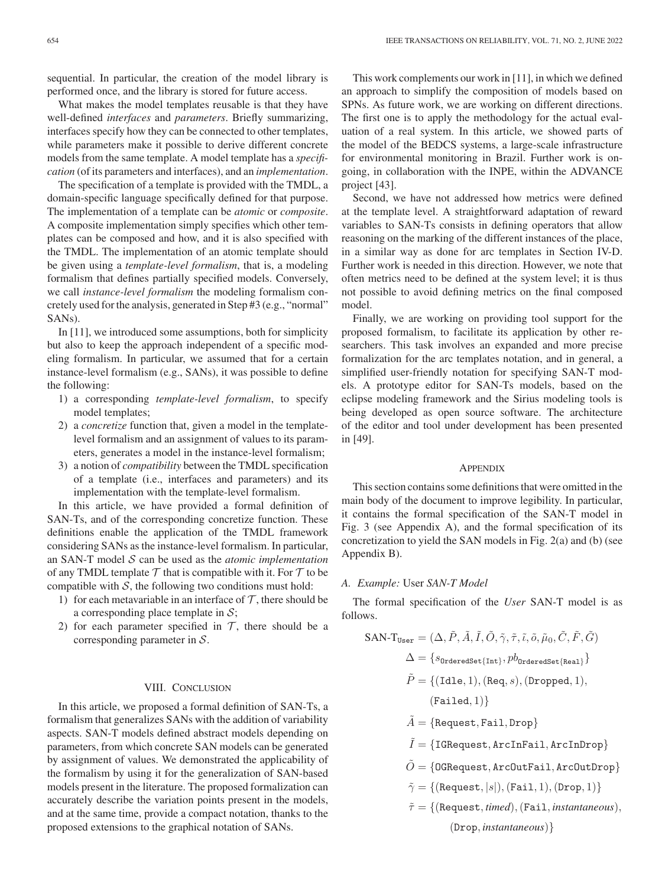sequential. In particular, the creation of the model library is performed once, and the library is stored for future access.

What makes the model templates reusable is that they have well-defined *interfaces* and *parameters*. Briefly summarizing, interfaces specify how they can be connected to other templates, while parameters make it possible to derive different concrete models from the same template. A model template has a *specification* (of its parameters and interfaces), and an *implementation*.

The specification of a template is provided with the TMDL, a domain-specific language specifically defined for that purpose. The implementation of a template can be *atomic* or *composite*. A composite implementation simply specifies which other templates can be composed and how, and it is also specified with the TMDL. The implementation of an atomic template should be given using a *template-level formalism*, that is, a modeling formalism that defines partially specified models. Conversely, we call *instance-level formalism* the modeling formalism concretely used for the analysis, generated in Step #3 (e.g., "normal" SANs).

In [11], we introduced some assumptions, both for simplicity but also to keep the approach independent of a specific modeling formalism. In particular, we assumed that for a certain instance-level formalism (e.g., SANs), it was possible to define the following:

- 1) a corresponding *template-level formalism*, to specify model templates;
- 2) a *concretize* function that, given a model in the templatelevel formalism and an assignment of values to its parameters, generates a model in the instance-level formalism;
- 3) a notion of *compatibility* between the TMDL specification of a template (i.e., interfaces and parameters) and its implementation with the template-level formalism.

In this article, we have provided a formal definition of SAN-Ts, and of the corresponding concretize function. These definitions enable the application of the TMDL framework considering SANs as the instance-level formalism. In particular, an SAN-T model S can be used as the *atomic implementation* of any TMDL template  $\mathcal T$  that is compatible with it. For  $\mathcal T$  to be compatible with  $S$ , the following two conditions must hold:

- 1) for each metavariable in an interface of  $\mathcal T$ , there should be a corresponding place template in  $S$ ;
- 2) for each parameter specified in  $\mathcal{T}$ , there should be a corresponding parameter in S.

## VIII. CONCLUSION

In this article, we proposed a formal definition of SAN-Ts, a formalism that generalizes SANs with the addition of variability aspects. SAN-T models defined abstract models depending on parameters, from which concrete SAN models can be generated by assignment of values. We demonstrated the applicability of the formalism by using it for the generalization of SAN-based models present in the literature. The proposed formalization can accurately describe the variation points present in the models, and at the same time, provide a compact notation, thanks to the proposed extensions to the graphical notation of SANs.

This work complements our work in [11], in which we defined an approach to simplify the composition of models based on SPNs. As future work, we are working on different directions. The first one is to apply the methodology for the actual evaluation of a real system. In this article, we showed parts of the model of the BEDCS systems, a large-scale infrastructure for environmental monitoring in Brazil. Further work is ongoing, in collaboration with the INPE, within the ADVANCE project [43].

Second, we have not addressed how metrics were defined at the template level. A straightforward adaptation of reward variables to SAN-Ts consists in defining operators that allow reasoning on the marking of the different instances of the place, in a similar way as done for arc templates in Section IV-D. Further work is needed in this direction. However, we note that often metrics need to be defined at the system level; it is thus not possible to avoid defining metrics on the final composed model.

Finally, we are working on providing tool support for the proposed formalism, to facilitate its application by other researchers. This task involves an expanded and more precise formalization for the arc templates notation, and in general, a simplified user-friendly notation for specifying SAN-T models. A prototype editor for SAN-Ts models, based on the eclipse modeling framework and the Sirius modeling tools is being developed as open source software. The architecture of the editor and tool under development has been presented in [49].

#### **APPENDIX**

This section contains some definitions that were omitted in the main body of the document to improve legibility. In particular, it contains the formal specification of the SAN-T model in Fig. 3 (see Appendix A), and the formal specification of its concretization to yield the SAN models in Fig. 2(a) and (b) (see Appendix B).

## *A. Example:* User *SAN-T Model*

The formal specification of the *User* SAN-T model is as follows.

$$
SAN-TUser = (\Delta, \tilde{P}, \tilde{A}, \tilde{I}, \tilde{O}, \tilde{\gamma}, \tilde{\tau}, \tilde{\iota}, \tilde{\partial}, \tilde{\mu}_0, \tilde{C}, \tilde{F}, \tilde{G})
$$
  
\n
$$
\Delta = \{s_{0rderedSet\{Int\}}, pb_{0rderedSet\{Real\}}\}
$$
  
\n
$$
\tilde{P} = \{ (Idle, 1), (Req, s), (Dropped, 1),
$$
  
\n(Failed, 1)\}  
\n
$$
\tilde{A} = \{Request, Fail, Drop\}
$$

- $\tilde{I} = \{\texttt{IGRequest}, \texttt{ArchFail}, \texttt{ArchDrop}\}$
- $\tilde{O} = \{\texttt{OGRequest}, \texttt{ArCOutTail}, \texttt{ArcOutDrop}\}$
- $\tilde{\gamma} = \{(\text{Request}, |s|),(\text{Fair}, 1),(\text{Drop}, 1)\}$
- $\tilde{\tau} = \{$ (Request, *timed*), (Fail, *instantaneous*),

(Drop, *instantaneous*)}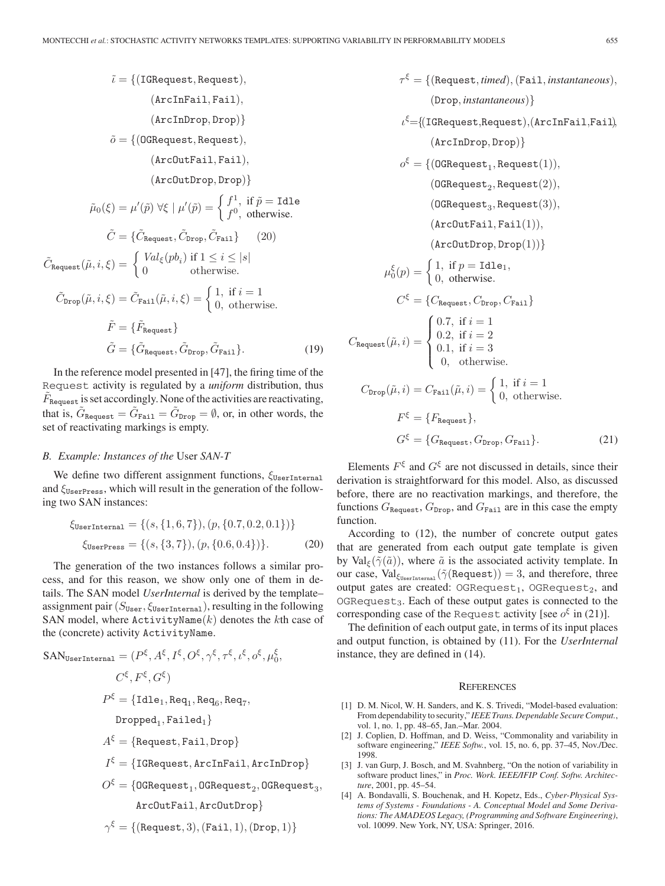$\tilde{\iota} = \{(\text{IGRequest}, \text{Request}),\}$ (ArcInFail, Fail), (ArcInDrop, Drop)}  $\tilde{o} = \{$ (OGRequest, Request), (ArcOutFail, Fail), (ArcOutDrop, Drop)}  $\tilde{\mu}_0(\xi) = \mu'(\tilde{p}) \; \forall \xi \; | \; \mu'(\tilde{p}) = \begin{cases} f^1, & \text{if } \tilde{p} = \text{Idle} \\ f^0, & \text{otherwise.} \end{cases}$  $\tilde{C} = \{\tilde{C}_{\text{Request}}, \tilde{C}_{\text{Prop}}, \tilde{C}_{\text{Fair}}\}$  (20)  $ilde{C}_{\text{Request}}(\tilde{\mu}, i, \xi) = \begin{cases} Val_{\xi}(pb_i) \text{ if } 1 \leq i \leq |s| \\ 0 \text{ otherwise.} \end{cases}$  $\tilde{C}_{\text{Drop}}(\tilde{\mu}, i, \xi) = \tilde{C}_{\text{Fair}}(\tilde{\mu}, i, \xi) = \begin{cases} 1, & \text{if } i = 1 \\ 0, & \text{otherwise.} \end{cases}$  $\tilde{F} = \{ \tilde{F}_{\text{Request}} \}$ 

 $\tilde{G} = \{\tilde{G}_{\text{Request}}, \tilde{G}_{\text{Prop}}, \tilde{G}_{\text{Fail}}\}.$  (19) In the reference model presented in [47], the firing time of the

Request activity is regulated by a *uniform* distribution, thus  $F_{\text{Request}}$  is set accordingly. None of the activities are reactivating, that is,  $\tilde{G}_{\text{Request}} = \tilde{G}_{\text{Fair}} = \tilde{G}_{\text{Drop}} = \emptyset$ , or, in other words, the set of reactivating markings is empty.

# *B. Example: Instances of the* User *SAN-T*

We define two different assignment functions,  $\xi_{\tt UserInternal}$ and  $\xi_{\text{UserPress}}$ , which will result in the generation of the following two SAN instances:

$$
\xi_{\text{UserInternal}} = \{ (s, \{1, 6, 7\}), (p, \{0.7, 0.2, 0.1\}) \}
$$

$$
\xi_{\text{UserPress}} = \{ (s, \{3, 7\}), (p, \{0.6, 0.4\}) \}. \tag{20}
$$

The generation of the two instances follows a similar process, and for this reason, we show only one of them in details. The SAN model *UserInternal* is derived by the template– assignment pair  $(S<sub>User</sub>, \xi<sub>UserInternal</sub>)$ , resulting in the following SAN model, where  $\texttt{ActivityName}(k)$  denotes the kth case of the (concrete) activity ActivityName.

$$
SANUserInternal = (P\xi, A\xi, I\xi, O\xi, \gamma\xi, \tau\xi, \iota\xi, o\xi, \mu0\xi,\nC\xi, F\xi, G\xi)\nP\xi = {Idle1, Req1, Req6, Req7,\nDropped1, Failed1}\nA\xi = {Request, Fail, Drop}\nI\xi = {IGRequest, ArcInFail, ArcInDrop}\nO\xi = {OGRequest1, OGRequest2, OGRequest3,\nArcOutFail, ArcOutDrop}\n
$$
\gamma^{\xi} = {(Request, 3), (Fair, 1), (Drop, 1)}
$$
$$

$$
(\text{Drop}, instantaneous)\}
$$
\n
$$
\iota^{\xi} = \{(\text{IGRequest}, \text{Request}), (\text{ArcInFair}, \text{Tail}, \text{Tail})\}, \text{ (ArcInProp, Drop)}\}
$$
\n
$$
o^{\xi} = \{(\text{OGRequest}_1, \text{Request}(1)), \text{ (OGRequest}_2, \text{Request}(2)), \text{ (OGRequest}_3, \text{Request}(3)), \text{ (ArcOutTail}, \text{Tail}(1)), \text{ (ArcOutDrop, Drop}(1))\}
$$
\n
$$
\mu_0^{\xi}(p) = \begin{cases} 1, \text{ if } p = \text{Id}e_1, \\ 0, \text{ otherwise.} \end{cases}
$$
\n
$$
C^{\xi} = \{C_{\text{Request}}, C_{\text{Drop}}, C_{\text{Tail}}\}
$$
\n
$$
C_{\text{Request}}(\tilde{\mu}, i) = \begin{cases} 0.7, \text{ if } i = 1 \\ 0.2, \text{ if } i = 2 \\ 0.1, \text{ if } i = 3 \\ 0, \text{ otherwise.} \end{cases}
$$
\n
$$
C_{\text{Drop}}(\tilde{\mu}, i) = C_{\text{Tail}}(\tilde{\mu}, i) = \begin{cases} 1, \text{ if } i = 1 \\ 0, \text{ otherwise.} \end{cases}
$$
\n
$$
F^{\xi} = \{F_{\text{Request}}, G_{\text{Drop}}, G_{\text{Tail}}\}. \tag{21}
$$

 $\tau^{\xi} = \{$ (Request, *timed*), (Fail, *instantaneous*),

Elements  $F^{\xi}$  and  $G^{\xi}$  are not discussed in details, since their derivation is straightforward for this model. Also, as discussed before, there are no reactivation markings, and therefore, the functions  $G_{\text{Request}}$ ,  $G_{\text{Drop}}$ , and  $G_{\text{Fair}}$  are in this case the empty function.

According to (12), the number of concrete output gates that are generated from each output gate template is given by Val<sub>ξ</sub>( $\tilde{\gamma}(\tilde{a})$ ), where  $\tilde{a}$  is the associated activity template. In our case,  $\text{Val}_{\xi_{\text{UserInternal}}}(\tilde{\gamma}(\text{Request})) = 3,$  and therefore, three output gates are created: OGRequest<sub>1</sub>, OGRequest<sub>2</sub>, and  $OGRequest<sub>3</sub>$ . Each of these output gates is connected to the corresponding case of the Request activity [see  $o^{\xi}$  in (21)].

The definition of each output gate, in terms of its input places and output function, is obtained by (11). For the *UserInternal* instance, they are defined in (14).

#### **REFERENCES**

- [1] D. M. Nicol, W. H. Sanders, and K. S. Trivedi, "Model-based evaluation: From dependability to security," *IEEE Trans. Dependable Secure Comput.*, vol. 1, no. 1, pp. 48–65, Jan.–Mar. 2004.
- [2] J. Coplien, D. Hoffman, and D. Weiss, "Commonality and variability in software engineering," *IEEE Softw.*, vol. 15, no. 6, pp. 37–45, Nov./Dec. 1998.
- [3] J. van Gurp, J. Bosch, and M. Svahnberg, "On the notion of variability in software product lines," in *Proc. Work. IEEE/IFIP Conf. Softw. Architecture*, 2001, pp. 45–54.
- [4] A. Bondavalli, S. Bouchenak, and H. Kopetz, Eds., *Cyber-Physical Systems of Systems - Foundations - A. Conceptual Model and Some Derivations: The AMADEOS Legacy, (Programming and Software Engineering)*, vol. 10099. New York, NY, USA: Springer, 2016.